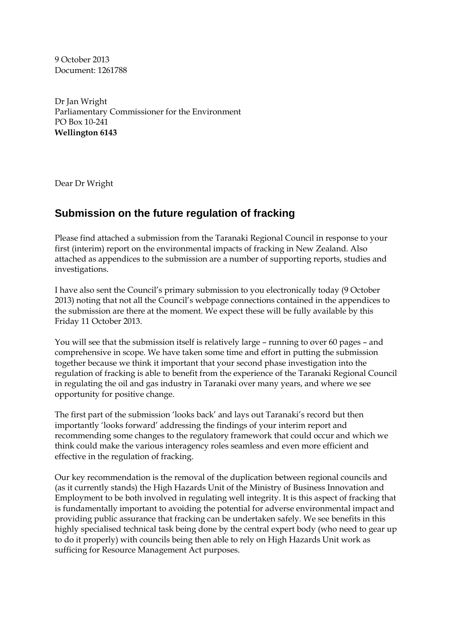9 October 2013 Document: 1261788

Dr Jan Wright Parliamentary Commissioner for the Environment PO Box 10-241 **Wellington 6143** 

Dear Dr Wright

## **Submission on the future regulation of fracking**

Please find attached a submission from the Taranaki Regional Council in response to your first (interim) report on the environmental impacts of fracking in New Zealand. Also attached as appendices to the submission are a number of supporting reports, studies and investigations.

I have also sent the Council's primary submission to you electronically today (9 October 2013) noting that not all the Council's webpage connections contained in the appendices to the submission are there at the moment. We expect these will be fully available by this Friday 11 October 2013.

You will see that the submission itself is relatively large – running to over 60 pages – and comprehensive in scope. We have taken some time and effort in putting the submission together because we think it important that your second phase investigation into the regulation of fracking is able to benefit from the experience of the Taranaki Regional Council in regulating the oil and gas industry in Taranaki over many years, and where we see opportunity for positive change.

The first part of the submission 'looks back' and lays out Taranaki's record but then importantly 'looks forward' addressing the findings of your interim report and recommending some changes to the regulatory framework that could occur and which we think could make the various interagency roles seamless and even more efficient and effective in the regulation of fracking.

Our key recommendation is the removal of the duplication between regional councils and (as it currently stands) the High Hazards Unit of the Ministry of Business Innovation and Employment to be both involved in regulating well integrity. It is this aspect of fracking that is fundamentally important to avoiding the potential for adverse environmental impact and providing public assurance that fracking can be undertaken safely. We see benefits in this highly specialised technical task being done by the central expert body (who need to gear up to do it properly) with councils being then able to rely on High Hazards Unit work as sufficing for Resource Management Act purposes.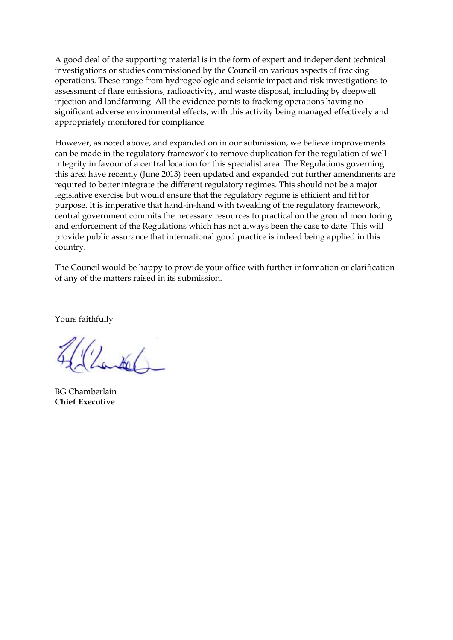A good deal of the supporting material is in the form of expert and independent technical investigations or studies commissioned by the Council on various aspects of fracking operations. These range from hydrogeologic and seismic impact and risk investigations to assessment of flare emissions, radioactivity, and waste disposal, including by deepwell injection and landfarming. All the evidence points to fracking operations having no significant adverse environmental effects, with this activity being managed effectively and appropriately monitored for compliance.

However, as noted above, and expanded on in our submission, we believe improvements can be made in the regulatory framework to remove duplication for the regulation of well integrity in favour of a central location for this specialist area. The Regulations governing this area have recently (June 2013) been updated and expanded but further amendments are required to better integrate the different regulatory regimes. This should not be a major legislative exercise but would ensure that the regulatory regime is efficient and fit for purpose. It is imperative that hand-in-hand with tweaking of the regulatory framework, central government commits the necessary resources to practical on the ground monitoring and enforcement of the Regulations which has not always been the case to date. This will provide public assurance that international good practice is indeed being applied in this country.

The Council would be happy to provide your office with further information or clarification of any of the matters raised in its submission.

Yours faithfully

1006/

BG Chamberlain **Chief Executive**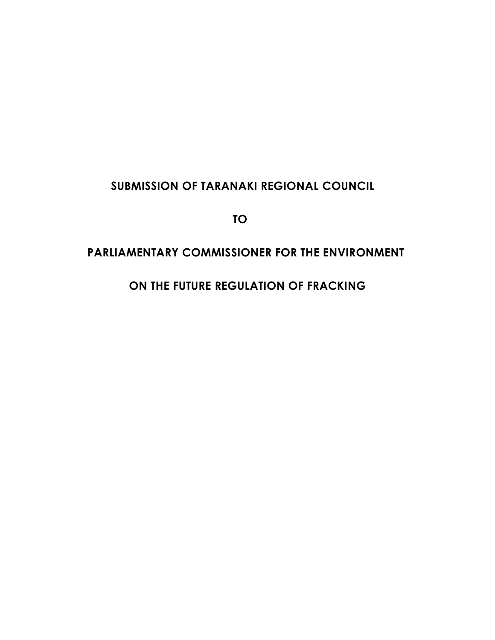# **SUBMISSION OF TARANAKI REGIONAL COUNCIL**

**TO** 

## **PARLIAMENTARY COMMISSIONER FOR THE ENVIRONMENT**

 **ON THE FUTURE REGULATION OF FRACKING**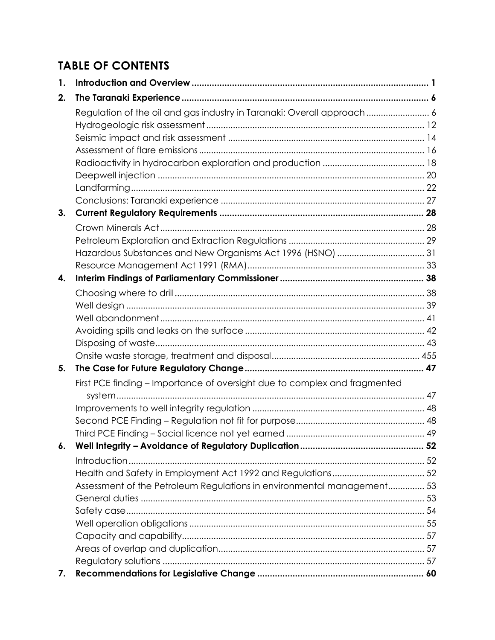# **TABLE OF CONTENTS**

| 1. |                                                                           |  |
|----|---------------------------------------------------------------------------|--|
| 2. |                                                                           |  |
|    | Regulation of the oil and gas industry in Taranaki: Overall approach 6    |  |
|    |                                                                           |  |
|    |                                                                           |  |
|    |                                                                           |  |
|    |                                                                           |  |
|    |                                                                           |  |
|    |                                                                           |  |
|    |                                                                           |  |
| 3. |                                                                           |  |
|    |                                                                           |  |
|    |                                                                           |  |
|    |                                                                           |  |
|    |                                                                           |  |
| 4. |                                                                           |  |
|    |                                                                           |  |
|    |                                                                           |  |
|    |                                                                           |  |
|    |                                                                           |  |
|    |                                                                           |  |
|    |                                                                           |  |
| 5. |                                                                           |  |
|    | First PCE finding - Importance of oversight due to complex and fragmented |  |
|    |                                                                           |  |
|    |                                                                           |  |
|    |                                                                           |  |
|    |                                                                           |  |
| 6. |                                                                           |  |
|    |                                                                           |  |
|    |                                                                           |  |
|    | Assessment of the Petroleum Regulations in environmental management 53    |  |
|    |                                                                           |  |
|    |                                                                           |  |
|    |                                                                           |  |
|    |                                                                           |  |
|    |                                                                           |  |
|    |                                                                           |  |
| 7. |                                                                           |  |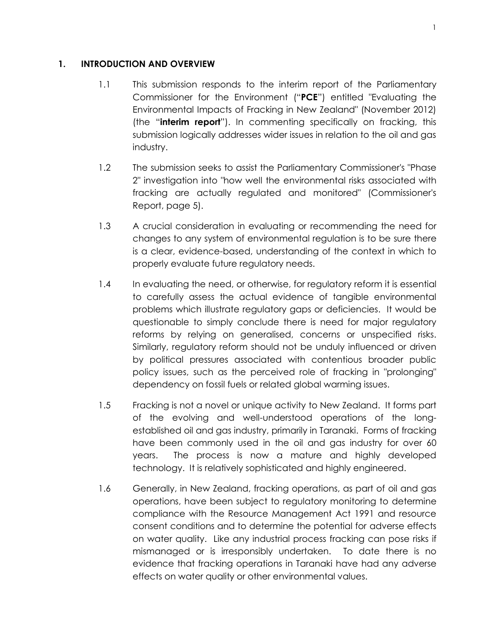#### <span id="page-4-0"></span>**1. INTRODUCTION AND OVERVIEW**

- 1.1 This submission responds to the interim report of the Parliamentary Commissioner for the Environment ("**PCE**") entitled "Evaluating the Environmental Impacts of Fracking in New Zealand" (November 2012) (the "**interim report**"). In commenting specifically on fracking, this submission logically addresses wider issues in relation to the oil and gas industry.
- 1.2 The submission seeks to assist the Parliamentary Commissioner's "Phase 2" investigation into "how well the environmental risks associated with fracking are actually regulated and monitored" (Commissioner's Report, page 5).
- 1.3 A crucial consideration in evaluating or recommending the need for changes to any system of environmental regulation is to be sure there is a clear, evidence-based, understanding of the context in which to properly evaluate future regulatory needs.
- 1.4 In evaluating the need, or otherwise, for regulatory reform it is essential to carefully assess the actual evidence of tangible environmental problems which illustrate regulatory gaps or deficiencies. It would be questionable to simply conclude there is need for major regulatory reforms by relying on generalised, concerns or unspecified risks. Similarly, regulatory reform should not be unduly influenced or driven by political pressures associated with contentious broader public policy issues, such as the perceived role of fracking in "prolonging" dependency on fossil fuels or related global warming issues.
- 1.5 Fracking is not a novel or unique activity to New Zealand. It forms part of the evolving and well-understood operations of the longestablished oil and gas industry, primarily in Taranaki. Forms of fracking have been commonly used in the oil and gas industry for over 60 years. The process is now a mature and highly developed technology. It is relatively sophisticated and highly engineered.
- 1.6 Generally, in New Zealand, fracking operations, as part of oil and gas operations, have been subject to regulatory monitoring to determine compliance with the Resource Management Act 1991 and resource consent conditions and to determine the potential for adverse effects on water quality. Like any industrial process fracking can pose risks if mismanaged or is irresponsibly undertaken. To date there is no evidence that fracking operations in Taranaki have had any adverse effects on water quality or other environmental values.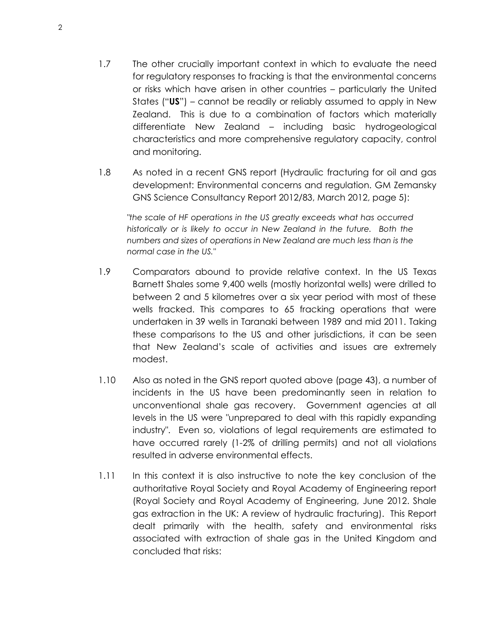- 1.7 The other crucially important context in which to evaluate the need for regulatory responses to fracking is that the environmental concerns or risks which have arisen in other countries – particularly the United States ("**US**") – cannot be readily or reliably assumed to apply in New Zealand. This is due to a combination of factors which materially differentiate New Zealand – including basic hydrogeological characteristics and more comprehensive regulatory capacity, control and monitoring.
- 1.8 As noted in a recent GNS report (Hydraulic fracturing for oil and gas development: Environmental concerns and regulation. GM Zemansky GNS Science Consultancy Report 2012/83, March 2012, page 5):

*"the scale of HF operations in the US greatly exceeds what has occurred historically or is likely to occur in New Zealand in the future. Both the numbers and sizes of operations in New Zealand are much less than is the normal case in the US."* 

- 1.9 Comparators abound to provide relative context. In the US Texas Barnett Shales some 9,400 wells (mostly horizontal wells) were drilled to between 2 and 5 kilometres over a six year period with most of these wells fracked. This compares to 65 fracking operations that were undertaken in 39 wells in Taranaki between 1989 and mid 2011. Taking these comparisons to the US and other jurisdictions, it can be seen that New Zealand's scale of activities and issues are extremely modest.
- 1.10 Also as noted in the GNS report quoted above (page 43), a number of incidents in the US have been predominantly seen in relation to unconventional shale gas recovery. Government agencies at all levels in the US were "unprepared to deal with this rapidly expanding industry". Even so, violations of legal requirements are estimated to have occurred rarely (1-2% of drilling permits) and not all violations resulted in adverse environmental effects.
- 1.11 In this context it is also instructive to note the key conclusion of the authoritative Royal Society and Royal Academy of Engineering report (Royal Society and Royal Academy of Engineering, June 2012. Shale gas extraction in the UK: A review of hydraulic fracturing). This Report dealt primarily with the health, safety and environmental risks associated with extraction of shale gas in the United Kingdom and concluded that risks: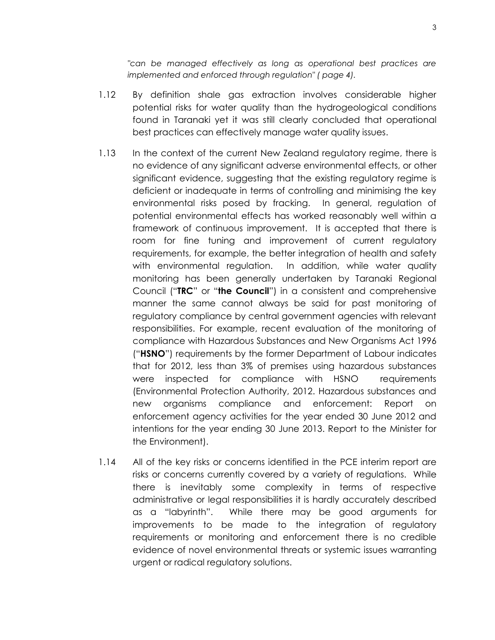*"can be managed effectively as long as operational best practices are implemented and enforced through regulation" ( page 4).* 

- 1.12 By definition shale gas extraction involves considerable higher potential risks for water quality than the hydrogeological conditions found in Taranaki yet it was still clearly concluded that operational best practices can effectively manage water quality issues.
- 1.13 In the context of the current New Zealand regulatory regime, there is no evidence of any significant adverse environmental effects, or other significant evidence, suggesting that the existing regulatory regime is deficient or inadequate in terms of controlling and minimising the key environmental risks posed by fracking. In general, regulation of potential environmental effects has worked reasonably well within a framework of continuous improvement. It is accepted that there is room for fine tuning and improvement of current regulatory requirements, for example, the better integration of health and safety with environmental regulation. In addition, while water quality monitoring has been generally undertaken by Taranaki Regional Council ("**TRC**" or "**the Council**") in a consistent and comprehensive manner the same cannot always be said for past monitoring of regulatory compliance by central government agencies with relevant responsibilities. For example, recent evaluation of the monitoring of compliance with Hazardous Substances and New Organisms Act 1996 ("**HSNO**") requirements by the former Department of Labour indicates that for 2012, less than 3% of premises using hazardous substances were inspected for compliance with HSNO requirements (Environmental Protection Authority, 2012. Hazardous substances and new organisms compliance and enforcement: Report on enforcement agency activities for the year ended 30 June 2012 and intentions for the year ending 30 June 2013. Report to the Minister for the Environment).
- 1.14 All of the key risks or concerns identified in the PCE interim report are risks or concerns currently covered by a variety of regulations. While there is inevitably some complexity in terms of respective administrative or legal responsibilities it is hardly accurately described as a "labyrinth". While there may be good arguments for improvements to be made to the integration of regulatory requirements or monitoring and enforcement there is no credible evidence of novel environmental threats or systemic issues warranting urgent or radical regulatory solutions.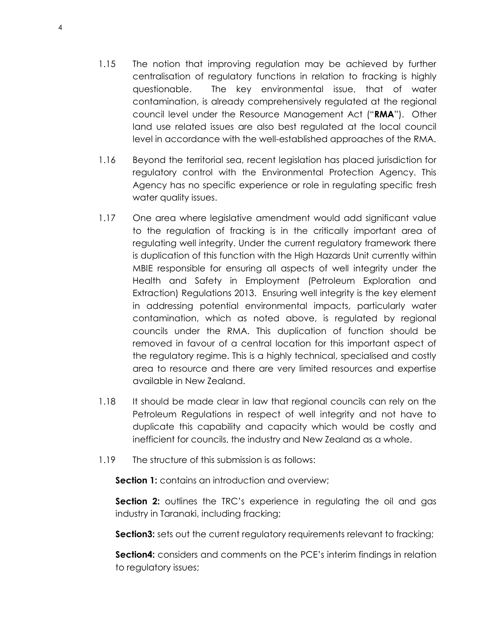- 1.15 The notion that improving regulation may be achieved by further centralisation of regulatory functions in relation to fracking is highly questionable. The key environmental issue, that of water contamination, is already comprehensively regulated at the regional council level under the Resource Management Act ("**RMA**"). Other land use related issues are also best regulated at the local council level in accordance with the well-established approaches of the RMA.
- 1.16 Beyond the territorial sea, recent legislation has placed jurisdiction for regulatory control with the Environmental Protection Agency. This Agency has no specific experience or role in regulating specific fresh water quality issues.
- 1.17 One area where legislative amendment would add significant value to the regulation of fracking is in the critically important area of regulating well integrity. Under the current regulatory framework there is duplication of this function with the High Hazards Unit currently within MBIE responsible for ensuring all aspects of well integrity under the Health and Safety in Employment (Petroleum Exploration and Extraction) Regulations 2013. Ensuring well integrity is the key element in addressing potential environmental impacts, particularly water contamination, which as noted above, is regulated by regional councils under the RMA. This duplication of function should be removed in favour of a central location for this important aspect of the regulatory regime. This is a highly technical, specialised and costly area to resource and there are very limited resources and expertise available in New Zealand.
- 1.18 It should be made clear in law that regional councils can rely on the Petroleum Regulations in respect of well integrity and not have to duplicate this capability and capacity which would be costly and inefficient for councils, the industry and New Zealand as a whole.
- 1.19 The structure of this submission is as follows:

**Section 1:** contains an introduction and overview;

**Section 2:** outlines the TRC's experience in regulating the oil and gas industry in Taranaki, including fracking;

**Section3:** sets out the current regulatory requirements relevant to fracking;

**Section4:** considers and comments on the PCE's interim findings in relation to regulatory issues;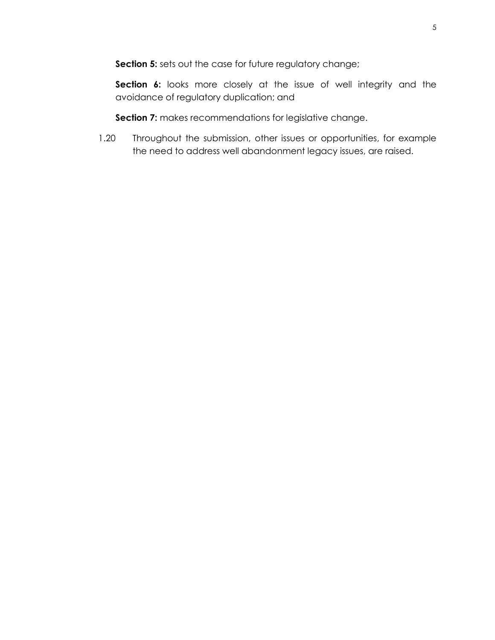**Section 5:** sets out the case for future regulatory change;

**Section 6:** looks more closely at the issue of well integrity and the avoidance of regulatory duplication; and

**Section 7:** makes recommendations for legislative change.

1.20 Throughout the submission, other issues or opportunities, for example the need to address well abandonment legacy issues, are raised.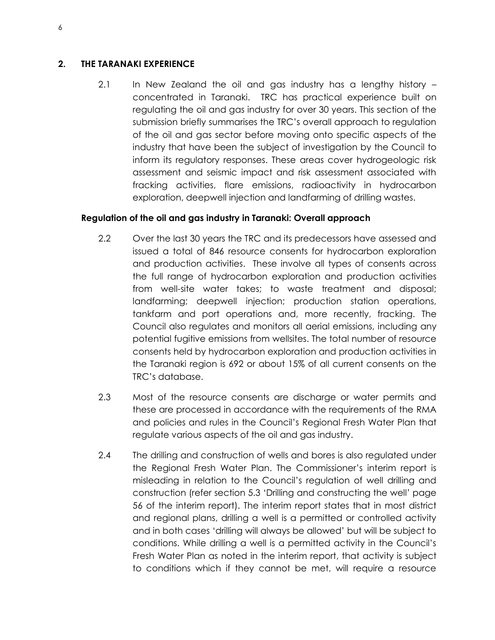## <span id="page-9-0"></span>**2. THE TARANAKI EXPERIENCE**

2.1 In New Zealand the oil and gas industry has a lengthy history concentrated in Taranaki. TRC has practical experience built on regulating the oil and gas industry for over 30 years. This section of the submission briefly summarises the TRC's overall approach to regulation of the oil and gas sector before moving onto specific aspects of the industry that have been the subject of investigation by the Council to inform its regulatory responses. These areas cover hydrogeologic risk assessment and seismic impact and risk assessment associated with fracking activities, flare emissions, radioactivity in hydrocarbon exploration, deepwell injection and landfarming of drilling wastes.

## <span id="page-9-1"></span>**Regulation of the oil and gas industry in Taranaki: Overall approach**

- 2.2 Over the last 30 years the TRC and its predecessors have assessed and issued a total of 846 resource consents for hydrocarbon exploration and production activities. These involve all types of consents across the full range of hydrocarbon exploration and production activities from well-site water takes; to waste treatment and disposal; landfarming; deepwell injection; production station operations, tankfarm and port operations and, more recently, fracking. The Council also regulates and monitors all aerial emissions, including any potential fugitive emissions from wellsites. The total number of resource consents held by hydrocarbon exploration and production activities in the Taranaki region is 692 or about 15% of all current consents on the TRC's database.
- 2.3 Most of the resource consents are discharge or water permits and these are processed in accordance with the requirements of the RMA and policies and rules in the Council's Regional Fresh Water Plan that regulate various aspects of the oil and gas industry.
- 2.4 The drilling and construction of wells and bores is also regulated under the Regional Fresh Water Plan. The Commissioner's interim report is misleading in relation to the Council's regulation of well drilling and construction (refer section 5.3 'Drilling and constructing the well' page 56 of the interim report). The interim report states that in most district and regional plans, drilling a well is a permitted or controlled activity and in both cases 'drilling will always be allowed' but will be subject to conditions. While drilling a well is a permitted activity in the Council's Fresh Water Plan as noted in the interim report, that activity is subject to conditions which if they cannot be met, will require a resource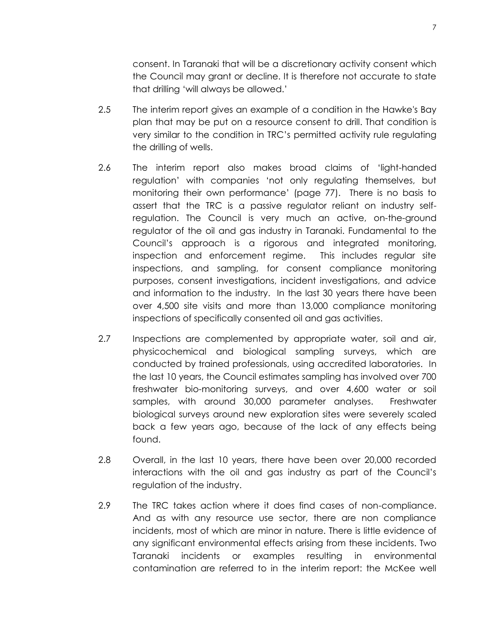consent. In Taranaki that will be a discretionary activity consent which the Council may grant or decline. It is therefore not accurate to state that drilling 'will always be allowed.'

- 2.5 The interim report gives an example of a condition in the Hawke's Bay plan that may be put on a resource consent to drill. That condition is very similar to the condition in TRC's permitted activity rule regulating the drilling of wells.
- 2.6 The interim report also makes broad claims of 'light-handed regulation' with companies 'not only regulating themselves, but monitoring their own performance' (page 77). There is no basis to assert that the TRC is a passive regulator reliant on industry selfregulation. The Council is very much an active, on-the-ground regulator of the oil and gas industry in Taranaki. Fundamental to the Council's approach is a rigorous and integrated monitoring, inspection and enforcement regime. This includes regular site inspections, and sampling, for consent compliance monitoring purposes, consent investigations, incident investigations, and advice and information to the industry. In the last 30 years there have been over 4,500 site visits and more than 13,000 compliance monitoring inspections of specifically consented oil and gas activities.
- 2.7 Inspections are complemented by appropriate water, soil and air, physicochemical and biological sampling surveys, which are conducted by trained professionals, using accredited laboratories. In the last 10 years, the Council estimates sampling has involved over 700 freshwater bio-monitoring surveys, and over 4,600 water or soil samples, with around 30,000 parameter analyses. Freshwater biological surveys around new exploration sites were severely scaled back a few years ago, because of the lack of any effects being found.
- 2.8 Overall, in the last 10 years, there have been over 20,000 recorded interactions with the oil and gas industry as part of the Council's regulation of the industry.
- 2.9 The TRC takes action where it does find cases of non-compliance. And as with any resource use sector, there are non compliance incidents, most of which are minor in nature. There is little evidence of any significant environmental effects arising from these incidents. Two Taranaki incidents or examples resulting in environmental contamination are referred to in the interim report: the McKee well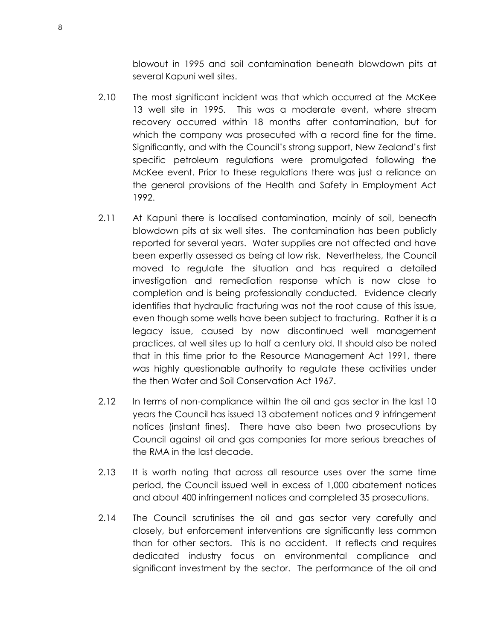blowout in 1995 and soil contamination beneath blowdown pits at several Kapuni well sites.

- 2.10 The most significant incident was that which occurred at the McKee 13 well site in 1995. This was a moderate event, where stream recovery occurred within 18 months after contamination, but for which the company was prosecuted with a record fine for the time. Significantly, and with the Council's strong support, New Zealand's first specific petroleum regulations were promulgated following the McKee event. Prior to these regulations there was just a reliance on the general provisions of the Health and Safety in Employment Act 1992.
- 2.11 At Kapuni there is localised contamination, mainly of soil, beneath blowdown pits at six well sites. The contamination has been publicly reported for several years. Water supplies are not affected and have been expertly assessed as being at low risk. Nevertheless, the Council moved to regulate the situation and has required a detailed investigation and remediation response which is now close to completion and is being professionally conducted. Evidence clearly identifies that hydraulic fracturing was not the root cause of this issue, even though some wells have been subject to fracturing. Rather it is a legacy issue, caused by now discontinued well management practices, at well sites up to half a century old. It should also be noted that in this time prior to the Resource Management Act 1991, there was highly questionable authority to regulate these activities under the then Water and Soil Conservation Act 1967.
- 2.12 In terms of non-compliance within the oil and gas sector in the last 10 years the Council has issued 13 abatement notices and 9 infringement notices (instant fines). There have also been two prosecutions by Council against oil and gas companies for more serious breaches of the RMA in the last decade.
- 2.13 It is worth noting that across all resource uses over the same time period, the Council issued well in excess of 1,000 abatement notices and about 400 infringement notices and completed 35 prosecutions.
- 2.14 The Council scrutinises the oil and gas sector very carefully and closely, but enforcement interventions are significantly less common than for other sectors. This is no accident. It reflects and requires dedicated industry focus on environmental compliance and significant investment by the sector. The performance of the oil and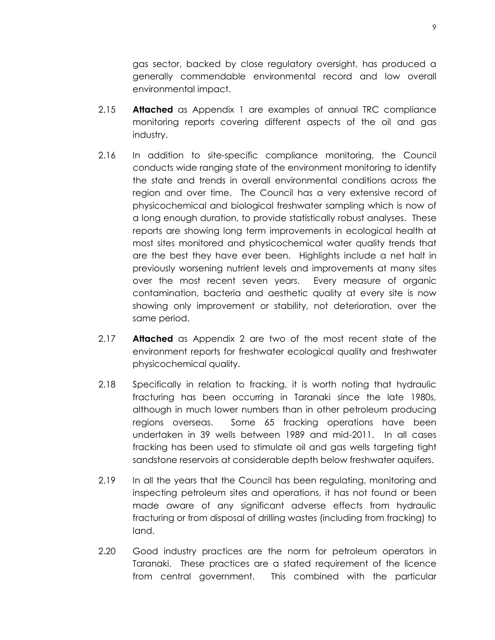gas sector, backed by close regulatory oversight, has produced a generally commendable environmental record and low overall environmental impact.

- 2.15 **Attached** as Appendix 1 are examples of annual TRC compliance monitoring reports covering different aspects of the oil and gas industry.
- 2.16 In addition to site-specific compliance monitoring, the Council conducts wide ranging state of the environment monitoring to identify the state and trends in overall environmental conditions across the region and over time. The Council has a very extensive record of physicochemical and biological freshwater sampling which is now of a long enough duration, to provide statistically robust analyses. These reports are showing long term improvements in ecological health at most sites monitored and physicochemical water quality trends that are the best they have ever been. Highlights include a net halt in previously worsening nutrient levels and improvements at many sites over the most recent seven years. Every measure of organic contamination, bacteria and aesthetic quality at every site is now showing only improvement or stability, not deterioration, over the same period.
- 2.17 **Attached** as Appendix 2 are two of the most recent state of the environment reports for freshwater ecological quality and freshwater physicochemical quality.
- 2.18 Specifically in relation to fracking, it is worth noting that hydraulic fracturing has been occurring in Taranaki since the late 1980s, although in much lower numbers than in other petroleum producing regions overseas. Some 65 fracking operations have been undertaken in 39 wells between 1989 and mid-2011. In all cases fracking has been used to stimulate oil and gas wells targeting tight sandstone reservoirs at considerable depth below freshwater aquifers.
- 2.19 In all the years that the Council has been regulating, monitoring and inspecting petroleum sites and operations, it has not found or been made aware of any significant adverse effects from hydraulic fracturing or from disposal of drilling wastes (including from fracking) to land.
- 2.20 Good industry practices are the norm for petroleum operators in Taranaki. These practices are a stated requirement of the licence from central government. This combined with the particular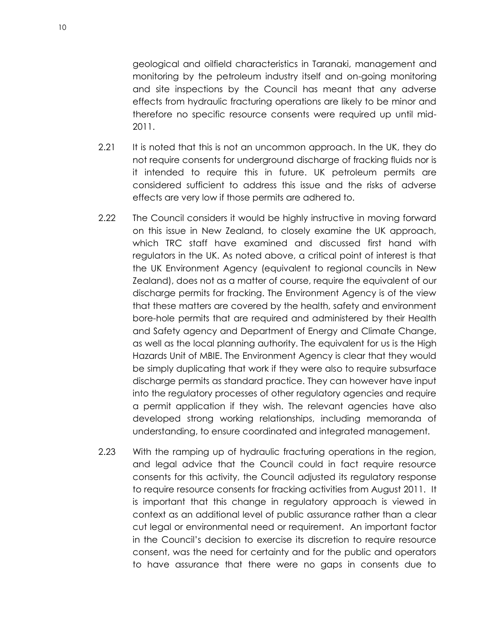geological and oilfield characteristics in Taranaki, management and monitoring by the petroleum industry itself and on-going monitoring and site inspections by the Council has meant that any adverse effects from hydraulic fracturing operations are likely to be minor and therefore no specific resource consents were required up until mid-2011.

- 2.21 It is noted that this is not an uncommon approach. In the UK, they do not require consents for underground discharge of fracking fluids nor is it intended to require this in future. UK petroleum permits are considered sufficient to address this issue and the risks of adverse effects are very low if those permits are adhered to.
- 2.22 The Council considers it would be highly instructive in moving forward on this issue in New Zealand, to closely examine the UK approach, which TRC staff have examined and discussed first hand with regulators in the UK. As noted above, a critical point of interest is that the UK Environment Agency (equivalent to regional councils in New Zealand), does not as a matter of course, require the equivalent of our discharge permits for fracking. The Environment Agency is of the view that these matters are covered by the health, safety and environment bore-hole permits that are required and administered by their Health and Safety agency and Department of Energy and Climate Change, as well as the local planning authority. The equivalent for us is the High Hazards Unit of MBIE. The Environment Agency is clear that they would be simply duplicating that work if they were also to require subsurface discharge permits as standard practice. They can however have input into the regulatory processes of other regulatory agencies and require a permit application if they wish. The relevant agencies have also developed strong working relationships, including memoranda of understanding, to ensure coordinated and integrated management.
- 2.23 With the ramping up of hydraulic fracturing operations in the region, and legal advice that the Council could in fact require resource consents for this activity, the Council adjusted its regulatory response to require resource consents for fracking activities from August 2011. It is important that this change in regulatory approach is viewed in context as an additional level of public assurance rather than a clear cut legal or environmental need or requirement. An important factor in the Council's decision to exercise its discretion to require resource consent, was the need for certainty and for the public and operators to have assurance that there were no gaps in consents due to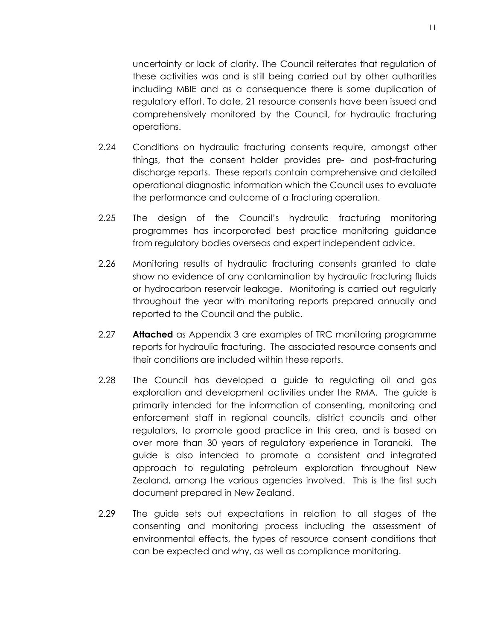uncertainty or lack of clarity. The Council reiterates that regulation of these activities was and is still being carried out by other authorities including MBIE and as a consequence there is some duplication of regulatory effort. To date, 21 resource consents have been issued and comprehensively monitored by the Council, for hydraulic fracturing operations.

- 2.24 Conditions on hydraulic fracturing consents require, amongst other things, that the consent holder provides pre- and post-fracturing discharge reports. These reports contain comprehensive and detailed operational diagnostic information which the Council uses to evaluate the performance and outcome of a fracturing operation.
- 2.25 The design of the Council's hydraulic fracturing monitoring programmes has incorporated best practice monitoring guidance from regulatory bodies overseas and expert independent advice.
- 2.26 Monitoring results of hydraulic fracturing consents granted to date show no evidence of any contamination by hydraulic fracturing fluids or hydrocarbon reservoir leakage. Monitoring is carried out regularly throughout the year with monitoring reports prepared annually and reported to the Council and the public.
- 2.27 **Attached** as Appendix 3 are examples of TRC monitoring programme reports for hydraulic fracturing. The associated resource consents and their conditions are included within these reports.
- 2.28 The Council has developed a guide to regulating oil and gas exploration and development activities under the RMA. The guide is primarily intended for the information of consenting, monitoring and enforcement staff in regional councils, district councils and other regulators, to promote good practice in this area, and is based on over more than 30 years of regulatory experience in Taranaki. The guide is also intended to promote a consistent and integrated approach to regulating petroleum exploration throughout New Zealand, among the various agencies involved. This is the first such document prepared in New Zealand.
- 2.29 The guide sets out expectations in relation to all stages of the consenting and monitoring process including the assessment of environmental effects, the types of resource consent conditions that can be expected and why, as well as compliance monitoring.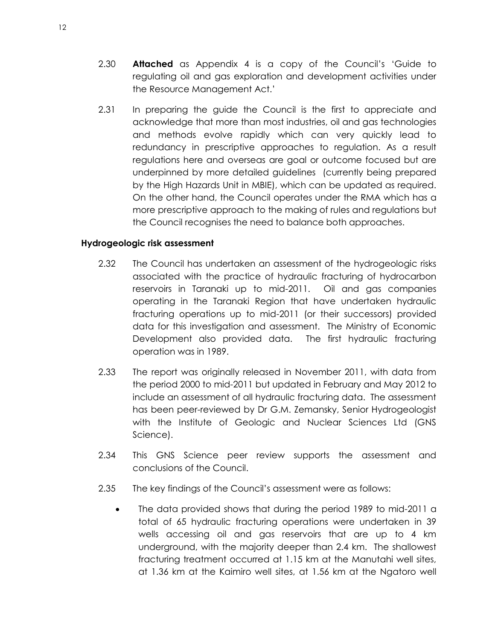- 2.30 **Attached** as Appendix 4 is a copy of the Council's 'Guide to regulating oil and gas exploration and development activities under the Resource Management Act.'
- 2.31 In preparing the guide the Council is the first to appreciate and acknowledge that more than most industries, oil and gas technologies and methods evolve rapidly which can very quickly lead to redundancy in prescriptive approaches to regulation. As a result regulations here and overseas are goal or outcome focused but are underpinned by more detailed guidelines (currently being prepared by the High Hazards Unit in MBIE), which can be updated as required. On the other hand, the Council operates under the RMA which has a more prescriptive approach to the making of rules and regulations but the Council recognises the need to balance both approaches.

#### <span id="page-15-0"></span>**Hydrogeologic risk assessment**

- 2.32 The Council has undertaken an assessment of the hydrogeologic risks associated with the practice of hydraulic fracturing of hydrocarbon reservoirs in Taranaki up to mid-2011. Oil and gas companies operating in the Taranaki Region that have undertaken hydraulic fracturing operations up to mid-2011 (or their successors) provided data for this investigation and assessment. The Ministry of Economic Development also provided data. The first hydraulic fracturing operation was in 1989.
- 2.33 The report was originally released in November 2011, with data from the period 2000 to mid-2011 but updated in February and May 2012 to include an assessment of all hydraulic fracturing data. The assessment has been peer-reviewed by Dr G.M. Zemansky, Senior Hydrogeologist with the Institute of Geologic and Nuclear Sciences Ltd (GNS Science).
- 2.34 This GNS Science peer review supports the assessment and conclusions of the Council.
- 2.35 The key findings of the Council's assessment were as follows:
	- The data provided shows that during the period 1989 to mid-2011 a total of 65 hydraulic fracturing operations were undertaken in 39 wells accessing oil and gas reservoirs that are up to 4 km underground, with the majority deeper than 2.4 km. The shallowest fracturing treatment occurred at 1.15 km at the Manutahi well sites, at 1.36 km at the Kaimiro well sites, at 1.56 km at the Ngatoro well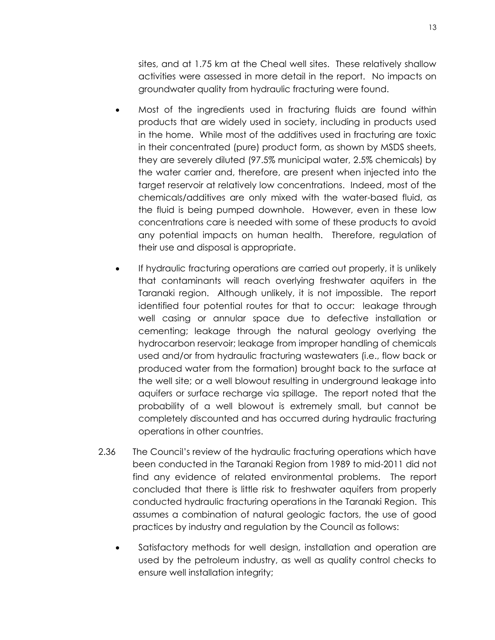sites, and at 1.75 km at the Cheal well sites. These relatively shallow activities were assessed in more detail in the report. No impacts on groundwater quality from hydraulic fracturing were found.

- Most of the ingredients used in fracturing fluids are found within products that are widely used in society, including in products used in the home. While most of the additives used in fracturing are toxic in their concentrated (pure) product form, as shown by MSDS sheets, they are severely diluted (97.5% municipal water, 2.5% chemicals) by the water carrier and, therefore, are present when injected into the target reservoir at relatively low concentrations. Indeed, most of the chemicals/additives are only mixed with the water-based fluid, as the fluid is being pumped downhole. However, even in these low concentrations care is needed with some of these products to avoid any potential impacts on human health. Therefore, regulation of their use and disposal is appropriate.
- If hydraulic fracturing operations are carried out properly, it is unlikely that contaminants will reach overlying freshwater aquifers in the Taranaki region. Although unlikely, it is not impossible. The report identified four potential routes for that to occur: leakage through well casing or annular space due to defective installation or cementing; leakage through the natural geology overlying the hydrocarbon reservoir; leakage from improper handling of chemicals used and/or from hydraulic fracturing wastewaters (i.e., flow back or produced water from the formation) brought back to the surface at the well site; or a well blowout resulting in underground leakage into aquifers or surface recharge via spillage. The report noted that the probability of a well blowout is extremely small, but cannot be completely discounted and has occurred during hydraulic fracturing operations in other countries.
- 2.36 The Council's review of the hydraulic fracturing operations which have been conducted in the Taranaki Region from 1989 to mid-2011 did not find any evidence of related environmental problems. The report concluded that there is little risk to freshwater aquifers from properly conducted hydraulic fracturing operations in the Taranaki Region. This assumes a combination of natural geologic factors, the use of good practices by industry and regulation by the Council as follows:
	- Satisfactory methods for well design, installation and operation are used by the petroleum industry, as well as quality control checks to ensure well installation integrity;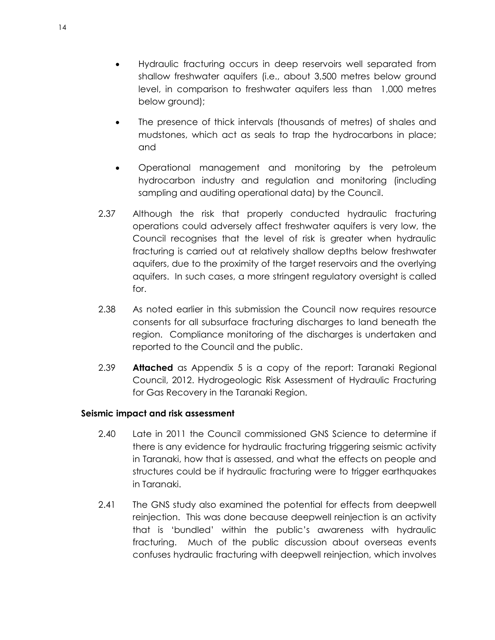- Hydraulic fracturing occurs in deep reservoirs well separated from shallow freshwater aquifers (i.e., about 3,500 metres below ground level, in comparison to freshwater aquifers less than 1,000 metres below ground);
- The presence of thick intervals (thousands of metres) of shales and mudstones, which act as seals to trap the hydrocarbons in place; and
- Operational management and monitoring by the petroleum hydrocarbon industry and regulation and monitoring (including sampling and auditing operational data) by the Council.
- 2.37 Although the risk that properly conducted hydraulic fracturing operations could adversely affect freshwater aquifers is very low, the Council recognises that the level of risk is greater when hydraulic fracturing is carried out at relatively shallow depths below freshwater aquifers, due to the proximity of the target reservoirs and the overlying aquifers. In such cases, a more stringent regulatory oversight is called for.
- 2.38 As noted earlier in this submission the Council now requires resource consents for all subsurface fracturing discharges to land beneath the region. Compliance monitoring of the discharges is undertaken and reported to the Council and the public.
- 2.39 **Attached** as Appendix 5 is a copy of the report: Taranaki Regional Council, 2012. Hydrogeologic Risk Assessment of Hydraulic Fracturing for Gas Recovery in the Taranaki Region.

## <span id="page-17-0"></span>**Seismic impact and risk assessment**

- 2.40 Late in 2011 the Council commissioned GNS Science to determine if there is any evidence for hydraulic fracturing triggering seismic activity in Taranaki, how that is assessed, and what the effects on people and structures could be if hydraulic fracturing were to trigger earthquakes in Taranaki.
- 2.41 The GNS study also examined the potential for effects from deepwell reinjection. This was done because deepwell reinjection is an activity that is 'bundled' within the public's awareness with hydraulic fracturing. Much of the public discussion about overseas events confuses hydraulic fracturing with deepwell reinjection, which involves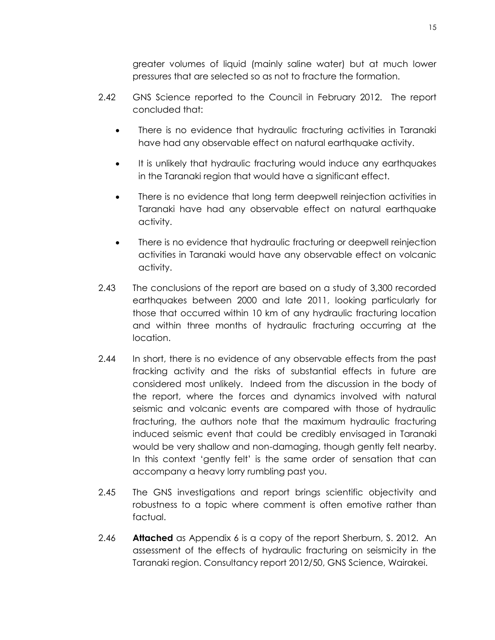greater volumes of liquid (mainly saline water) but at much lower pressures that are selected so as not to fracture the formation.

- 2.42 GNS Science reported to the Council in February 2012. The report concluded that:
	- There is no evidence that hydraulic fracturing activities in Taranaki have had any observable effect on natural earthquake activity.
	- It is unlikely that hydraulic fracturing would induce any earthquakes in the Taranaki region that would have a significant effect.
	- There is no evidence that long term deepwell reinjection activities in Taranaki have had any observable effect on natural earthquake activity.
	- There is no evidence that hydraulic fracturing or deepwell reinjection activities in Taranaki would have any observable effect on volcanic activity.
- 2.43 The conclusions of the report are based on a study of 3,300 recorded earthquakes between 2000 and late 2011, looking particularly for those that occurred within 10 km of any hydraulic fracturing location and within three months of hydraulic fracturing occurring at the location.
- 2.44 In short, there is no evidence of any observable effects from the past fracking activity and the risks of substantial effects in future are considered most unlikely. Indeed from the discussion in the body of the report, where the forces and dynamics involved with natural seismic and volcanic events are compared with those of hydraulic fracturing, the authors note that the maximum hydraulic fracturing induced seismic event that could be credibly envisaged in Taranaki would be very shallow and non-damaging, though gently felt nearby. In this context 'gently felt' is the same order of sensation that can accompany a heavy lorry rumbling past you.
- 2.45 The GNS investigations and report brings scientific objectivity and robustness to a topic where comment is often emotive rather than factual.
- 2.46 **Attached** as Appendix 6 is a copy of the report Sherburn, S. 2012. An assessment of the effects of hydraulic fracturing on seismicity in the Taranaki region. Consultancy report 2012/50, GNS Science, Wairakei.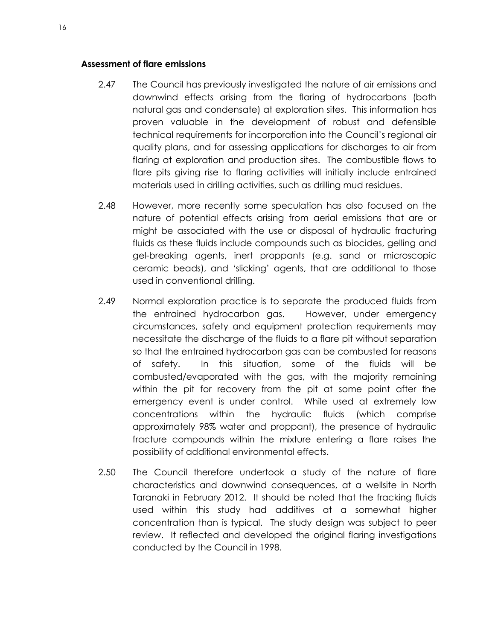#### <span id="page-19-0"></span>**Assessment of flare emissions**

- 2.47 The Council has previously investigated the nature of air emissions and downwind effects arising from the flaring of hydrocarbons (both natural gas and condensate) at exploration sites. This information has proven valuable in the development of robust and defensible technical requirements for incorporation into the Council's regional air quality plans, and for assessing applications for discharges to air from flaring at exploration and production sites. The combustible flows to flare pits giving rise to flaring activities will initially include entrained materials used in drilling activities, such as drilling mud residues.
- 2.48 However, more recently some speculation has also focused on the nature of potential effects arising from aerial emissions that are or might be associated with the use or disposal of hydraulic fracturing fluids as these fluids include compounds such as biocides, gelling and gel-breaking agents, inert proppants (e.g. sand or microscopic ceramic beads), and 'slicking' agents, that are additional to those used in conventional drilling.
- 2.49 Normal exploration practice is to separate the produced fluids from the entrained hydrocarbon gas. However, under emergency circumstances, safety and equipment protection requirements may necessitate the discharge of the fluids to a flare pit without separation so that the entrained hydrocarbon gas can be combusted for reasons of safety. In this situation, some of the fluids will be combusted/evaporated with the gas, with the majority remaining within the pit for recovery from the pit at some point after the emergency event is under control. While used at extremely low concentrations within the hydraulic fluids (which comprise approximately 98% water and proppant), the presence of hydraulic fracture compounds within the mixture entering a flare raises the possibility of additional environmental effects.
- 2.50 The Council therefore undertook a study of the nature of flare characteristics and downwind consequences, at a wellsite in North Taranaki in February 2012. It should be noted that the fracking fluids used within this study had additives at a somewhat higher concentration than is typical. The study design was subject to peer review. It reflected and developed the original flaring investigations conducted by the Council in 1998.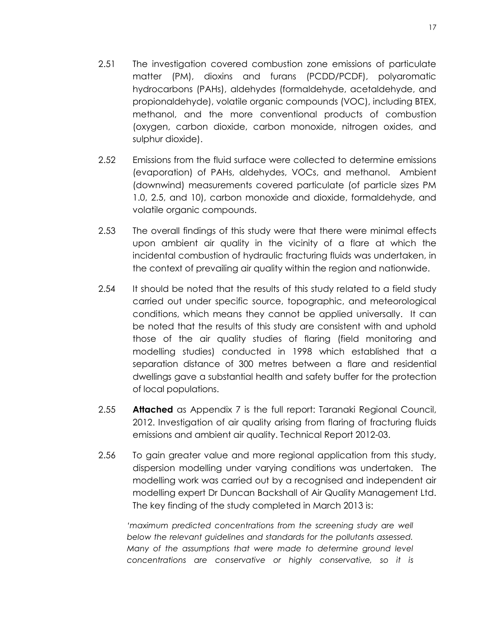- 2.51 The investigation covered combustion zone emissions of particulate matter (PM), dioxins and furans (PCDD/PCDF), polyaromatic hydrocarbons (PAHs), aldehydes (formaldehyde, acetaldehyde, and propionaldehyde), volatile organic compounds (VOC), including BTEX, methanol, and the more conventional products of combustion (oxygen, carbon dioxide, carbon monoxide, nitrogen oxides, and sulphur dioxide).
- 2.52 Emissions from the fluid surface were collected to determine emissions (evaporation) of PAHs, aldehydes, VOCs, and methanol. Ambient (downwind) measurements covered particulate (of particle sizes PM 1.0, 2.5, and 10), carbon monoxide and dioxide, formaldehyde, and volatile organic compounds.
- 2.53 The overall findings of this study were that there were minimal effects upon ambient air quality in the vicinity of a flare at which the incidental combustion of hydraulic fracturing fluids was undertaken, in the context of prevailing air quality within the region and nationwide.
- 2.54 It should be noted that the results of this study related to a field study carried out under specific source, topographic, and meteorological conditions, which means they cannot be applied universally. It can be noted that the results of this study are consistent with and uphold those of the air quality studies of flaring (field monitoring and modelling studies) conducted in 1998 which established that a separation distance of 300 metres between a flare and residential dwellings gave a substantial health and safety buffer for the protection of local populations.
- 2.55 **Attached** as Appendix 7 is the full report: Taranaki Regional Council, 2012. Investigation of air quality arising from flaring of fracturing fluids emissions and ambient air quality. Technical Report 2012-03.
- 2.56 To gain greater value and more regional application from this study, dispersion modelling under varying conditions was undertaken. The modelling work was carried out by a recognised and independent air modelling expert Dr Duncan Backshall of Air Quality Management Ltd. The key finding of the study completed in March 2013 is:

*'maximum predicted concentrations from the screening study are well below the relevant guidelines and standards for the pollutants assessed. Many of the assumptions that were made to determine ground level concentrations are conservative or highly conservative, so it is*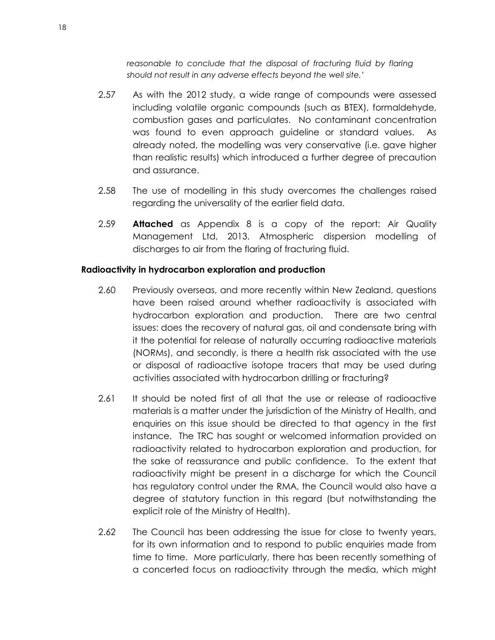*reasonable to conclude that the disposal of fracturing fluid by flaring should not result in any adverse effects beyond the well site.'*

- 2.57 As with the 2012 study, a wide range of compounds were assessed including volatile organic compounds (such as BTEX), formaldehyde, combustion gases and particulates. No contaminant concentration was found to even approach guideline or standard values. As already noted, the modelling was very conservative (i.e. gave higher than realistic results) which introduced a further degree of precaution and assurance.
- 2.58 The use of modelling in this study overcomes the challenges raised regarding the universality of the earlier field data.
- 2.59 **Attached** as Appendix 8 is a copy of the report: Air Quality Management Ltd, 2013. Atmospheric dispersion modelling of discharges to air from the flaring of fracturing fluid.

## <span id="page-21-0"></span>**Radioactivity in hydrocarbon exploration and production**

- 2.60 Previously overseas, and more recently within New Zealand, questions have been raised around whether radioactivity is associated with hydrocarbon exploration and production. There are two central issues: does the recovery of natural gas, oil and condensate bring with it the potential for release of naturally occurring radioactive materials (NORMs), and secondly, is there a health risk associated with the use or disposal of radioactive isotope tracers that may be used during activities associated with hydrocarbon drilling or fracturing?
- 2.61 It should be noted first of all that the use or release of radioactive materials is a matter under the jurisdiction of the Ministry of Health, and enquiries on this issue should be directed to that agency in the first instance. The TRC has sought or welcomed information provided on radioactivity related to hydrocarbon exploration and production, for the sake of reassurance and public confidence. To the extent that radioactivity might be present in a discharge for which the Council has regulatory control under the RMA, the Council would also have a degree of statutory function in this regard (but notwithstanding the explicit role of the Ministry of Health).
- 2.62 The Council has been addressing the issue for close to twenty years, for its own information and to respond to public enquiries made from time to time. More particularly, there has been recently something of a concerted focus on radioactivity through the media, which might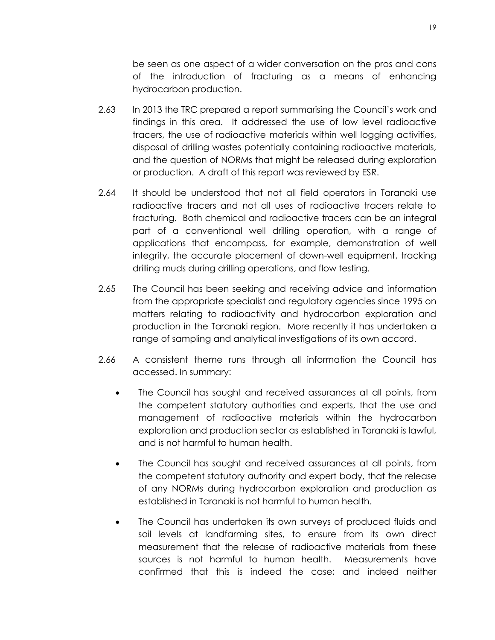be seen as one aspect of a wider conversation on the pros and cons of the introduction of fracturing as a means of enhancing hydrocarbon production.

- 2.63 In 2013 the TRC prepared a report summarising the Council's work and findings in this area. It addressed the use of low level radioactive tracers, the use of radioactive materials within well logging activities, disposal of drilling wastes potentially containing radioactive materials, and the question of NORMs that might be released during exploration or production. A draft of this report was reviewed by ESR.
- 2.64 It should be understood that not all field operators in Taranaki use radioactive tracers and not all uses of radioactive tracers relate to fracturing. Both chemical and radioactive tracers can be an integral part of a conventional well drilling operation, with a range of applications that encompass, for example, demonstration of well integrity, the accurate placement of down-well equipment, tracking drilling muds during drilling operations, and flow testing.
- 2.65 The Council has been seeking and receiving advice and information from the appropriate specialist and regulatory agencies since 1995 on matters relating to radioactivity and hydrocarbon exploration and production in the Taranaki region. More recently it has undertaken a range of sampling and analytical investigations of its own accord.
- 2.66 A consistent theme runs through all information the Council has accessed. In summary:
	- The Council has sought and received assurances at all points, from the competent statutory authorities and experts, that the use and management of radioactive materials within the hydrocarbon exploration and production sector as established in Taranaki is lawful, and is not harmful to human health.
	- The Council has sought and received assurances at all points, from the competent statutory authority and expert body, that the release of any NORMs during hydrocarbon exploration and production as established in Taranaki is not harmful to human health.
	- The Council has undertaken its own surveys of produced fluids and soil levels at landfarming sites, to ensure from its own direct measurement that the release of radioactive materials from these sources is not harmful to human health. Measurements have confirmed that this is indeed the case; and indeed neither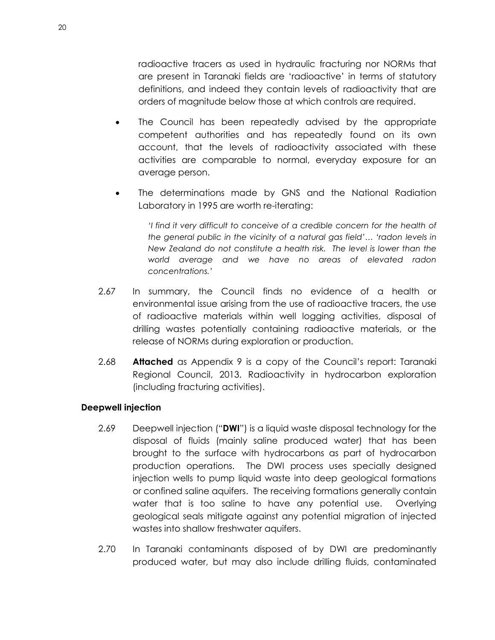radioactive tracers as used in hydraulic fracturing nor NORMs that are present in Taranaki fields are 'radioactive' in terms of statutory definitions, and indeed they contain levels of radioactivity that are orders of magnitude below those at which controls are required.

- The Council has been repeatedly advised by the appropriate competent authorities and has repeatedly found on its own account, that the levels of radioactivity associated with these activities are comparable to normal, everyday exposure for an average person.
- The determinations made by GNS and the National Radiation Laboratory in 1995 are worth re-iterating:

*'I find it very difficult to conceive of a credible concern for the health of the general public in the vicinity of a natural gas field'… 'radon levels in New Zealand do not constitute a health risk. The level is lower than the world average and we have no areas of elevated radon concentrations.'*

- 2.67 In summary, the Council finds no evidence of a health or environmental issue arising from the use of radioactive tracers, the use of radioactive materials within well logging activities, disposal of drilling wastes potentially containing radioactive materials, or the release of NORMs during exploration or production.
- 2.68 **Attached** as Appendix 9 is a copy of the Council's report: Taranaki Regional Council, 2013. Radioactivity in hydrocarbon exploration (including fracturing activities).

## <span id="page-23-0"></span>**Deepwell injection**

- 2.69 Deepwell injection ("**DWI**") is a liquid waste disposal technology for the disposal of fluids (mainly saline produced water) that has been brought to the surface with hydrocarbons as part of hydrocarbon production operations. The DWI process uses specially designed injection wells to pump liquid waste into deep geological formations or confined saline aquifers. The receiving formations generally contain water that is too saline to have any potential use. Overlying geological seals mitigate against any potential migration of injected wastes into shallow freshwater aquifers.
- 2.70 In Taranaki contaminants disposed of by DWI are predominantly produced water, but may also include drilling fluids, contaminated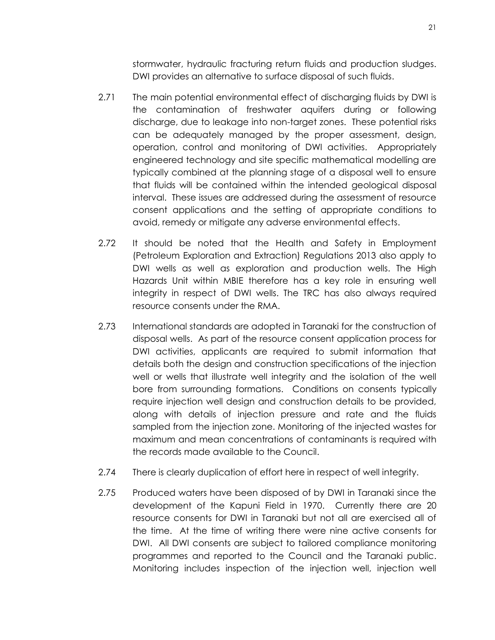stormwater, hydraulic fracturing return fluids and production sludges. DWI provides an alternative to surface disposal of such fluids.

- 2.71 The main potential environmental effect of discharging fluids by DWI is the contamination of freshwater aquifers during or following discharge, due to leakage into non-target zones. These potential risks can be adequately managed by the proper assessment, design, operation, control and monitoring of DWI activities. Appropriately engineered technology and site specific mathematical modelling are typically combined at the planning stage of a disposal well to ensure that fluids will be contained within the intended geological disposal interval. These issues are addressed during the assessment of resource consent applications and the setting of appropriate conditions to avoid, remedy or mitigate any adverse environmental effects.
- 2.72 It should be noted that the Health and Safety in Employment (Petroleum Exploration and Extraction) Regulations 2013 also apply to DWI wells as well as exploration and production wells. The High Hazards Unit within MBIE therefore has a key role in ensuring well integrity in respect of DWI wells. The TRC has also always required resource consents under the RMA.
- 2.73 International standards are adopted in Taranaki for the construction of disposal wells. As part of the resource consent application process for DWI activities, applicants are required to submit information that details both the design and construction specifications of the injection well or wells that illustrate well integrity and the isolation of the well bore from surrounding formations. Conditions on consents typically require injection well design and construction details to be provided, along with details of injection pressure and rate and the fluids sampled from the injection zone. Monitoring of the injected wastes for maximum and mean concentrations of contaminants is required with the records made available to the Council.
- 2.74 There is clearly duplication of effort here in respect of well integrity.
- 2.75 Produced waters have been disposed of by DWI in Taranaki since the development of the Kapuni Field in 1970. Currently there are 20 resource consents for DWI in Taranaki but not all are exercised all of the time. At the time of writing there were nine active consents for DWI. All DWI consents are subject to tailored compliance monitoring programmes and reported to the Council and the Taranaki public. Monitoring includes inspection of the injection well, injection well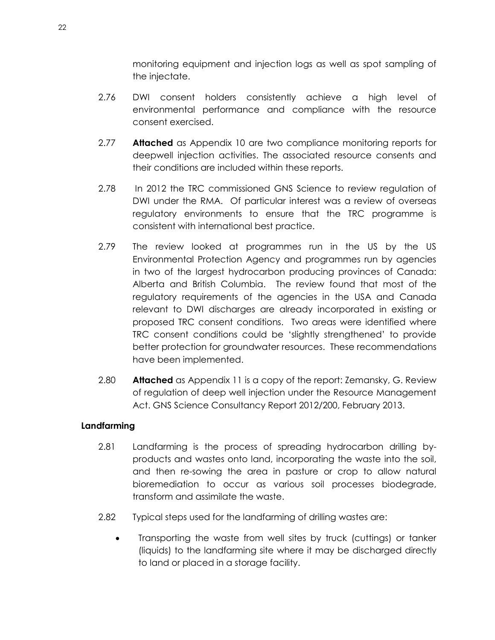monitoring equipment and injection logs as well as spot sampling of the injectate.

- 2.76 DWI consent holders consistently achieve a high level of environmental performance and compliance with the resource consent exercised.
- 2.77 **Attached** as Appendix 10 are two compliance monitoring reports for deepwell injection activities. The associated resource consents and their conditions are included within these reports.
- 2.78 In 2012 the TRC commissioned GNS Science to review regulation of DWI under the RMA. Of particular interest was a review of overseas regulatory environments to ensure that the TRC programme is consistent with international best practice.
- 2.79 The review looked at programmes run in the US by the US Environmental Protection Agency and programmes run by agencies in two of the largest hydrocarbon producing provinces of Canada: Alberta and British Columbia. The review found that most of the regulatory requirements of the agencies in the USA and Canada relevant to DWI discharges are already incorporated in existing or proposed TRC consent conditions. Two areas were identified where TRC consent conditions could be 'slightly strengthened' to provide better protection for groundwater resources. These recommendations have been implemented.
- 2.80 **Attached** as Appendix 11 is a copy of the report: Zemansky, G. Review of regulation of deep well injection under the Resource Management Act. GNS Science Consultancy Report 2012/200, February 2013.

## <span id="page-25-0"></span>**Landfarming**

- 2.81 Landfarming is the process of spreading hydrocarbon drilling byproducts and wastes onto land, incorporating the waste into the soil, and then re-sowing the area in pasture or crop to allow natural bioremediation to occur as various soil processes biodegrade, transform and assimilate the waste.
- 2.82 Typical steps used for the landfarming of drilling wastes are:
	- Transporting the waste from well sites by truck (cuttings) or tanker (liquids) to the landfarming site where it may be discharged directly to land or placed in a storage facility.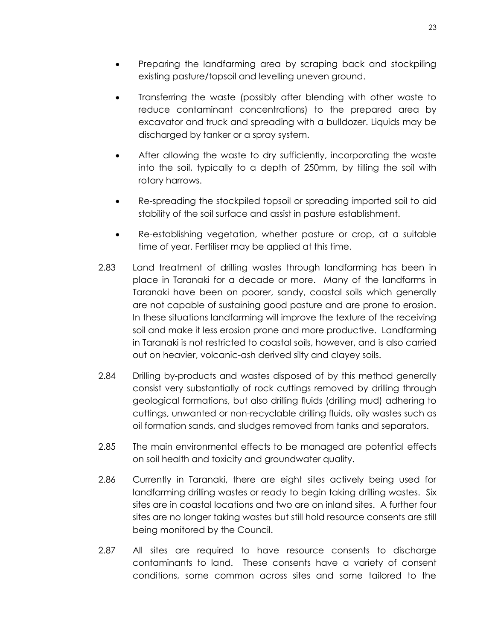- Preparing the landfarming area by scraping back and stockpiling existing pasture/topsoil and levelling uneven ground.
- Transferring the waste (possibly after blending with other waste to reduce contaminant concentrations) to the prepared area by excavator and truck and spreading with a bulldozer. Liquids may be discharged by tanker or a spray system.
- After allowing the waste to dry sufficiently, incorporating the waste into the soil, typically to a depth of 250mm, by tilling the soil with rotary harrows.
- Re-spreading the stockpiled topsoil or spreading imported soil to aid stability of the soil surface and assist in pasture establishment.
- Re-establishing vegetation, whether pasture or crop, at a suitable time of year. Fertiliser may be applied at this time.
- 2.83 Land treatment of drilling wastes through landfarming has been in place in Taranaki for a decade or more. Many of the landfarms in Taranaki have been on poorer, sandy, coastal soils which generally are not capable of sustaining good pasture and are prone to erosion. In these situations landfarming will improve the texture of the receiving soil and make it less erosion prone and more productive. Landfarming in Taranaki is not restricted to coastal soils, however, and is also carried out on heavier, volcanic-ash derived silty and clayey soils.
- 2.84 Drilling by-products and wastes disposed of by this method generally consist very substantially of rock cuttings removed by drilling through geological formations, but also drilling fluids (drilling mud) adhering to cuttings, unwanted or non-recyclable drilling fluids, oily wastes such as oil formation sands, and sludges removed from tanks and separators.
- 2.85 The main environmental effects to be managed are potential effects on soil health and toxicity and groundwater quality.
- 2.86 Currently in Taranaki, there are eight sites actively being used for landfarming drilling wastes or ready to begin taking drilling wastes. Six sites are in coastal locations and two are on inland sites. A further four sites are no longer taking wastes but still hold resource consents are still being monitored by the Council.
- 2.87 All sites are required to have resource consents to discharge contaminants to land. These consents have a variety of consent conditions, some common across sites and some tailored to the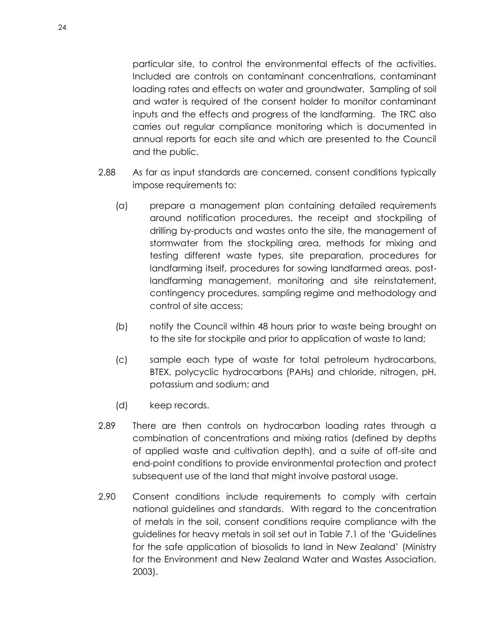particular site, to control the environmental effects of the activities. Included are controls on contaminant concentrations, contaminant loading rates and effects on water and groundwater. Sampling of soil and water is required of the consent holder to monitor contaminant inputs and the effects and progress of the landfarming. The TRC also carries out regular compliance monitoring which is documented in annual reports for each site and which are presented to the Council and the public.

- 2.88 As far as input standards are concerned, consent conditions typically impose requirements to:
	- (a) prepare a management plan containing detailed requirements around notification procedures, the receipt and stockpiling of drilling by-products and wastes onto the site, the management of stormwater from the stockpiling area, methods for mixing and testing different waste types, site preparation, procedures for landfarming itself, procedures for sowing landfarmed areas, postlandfarming management, monitoring and site reinstatement, contingency procedures, sampling regime and methodology and control of site access;
	- (b) notify the Council within 48 hours prior to waste being brought on to the site for stockpile and prior to application of waste to land;
	- (c) sample each type of waste for total petroleum hydrocarbons, BTEX, polycyclic hydrocarbons (PAHs) and chloride, nitrogen, pH, potassium and sodium; and
	- (d) keep records.
- 2.89 There are then controls on hydrocarbon loading rates through a combination of concentrations and mixing ratios (defined by depths of applied waste and cultivation depth), and a suite of off-site and end-point conditions to provide environmental protection and protect subsequent use of the land that might involve pastoral usage.
- 2.90 Consent conditions include requirements to comply with certain national guidelines and standards. With regard to the concentration of metals in the soil, consent conditions require compliance with the guidelines for heavy metals in soil set out in Table 7.1 of the 'Guidelines for the safe application of biosolids to land in New Zealand' (Ministry for the Environment and New Zealand Water and Wastes Association, 2003).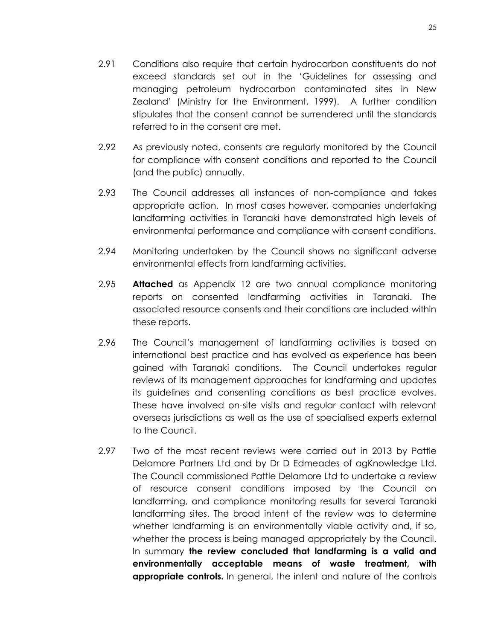- 2.91 Conditions also require that certain hydrocarbon constituents do not exceed standards set out in the 'Guidelines for assessing and managing petroleum hydrocarbon contaminated sites in New Zealand' (Ministry for the Environment, 1999). A further condition stipulates that the consent cannot be surrendered until the standards referred to in the consent are met.
- 2.92 As previously noted, consents are regularly monitored by the Council for compliance with consent conditions and reported to the Council (and the public) annually.
- 2.93 The Council addresses all instances of non-compliance and takes appropriate action. In most cases however, companies undertaking landfarming activities in Taranaki have demonstrated high levels of environmental performance and compliance with consent conditions.
- 2.94 Monitoring undertaken by the Council shows no significant adverse environmental effects from landfarming activities.
- 2.95 **Attached** as Appendix 12 are two annual compliance monitoring reports on consented landfarming activities in Taranaki. The associated resource consents and their conditions are included within these reports.
- 2.96 The Council's management of landfarming activities is based on international best practice and has evolved as experience has been gained with Taranaki conditions. The Council undertakes regular reviews of its management approaches for landfarming and updates its guidelines and consenting conditions as best practice evolves. These have involved on-site visits and regular contact with relevant overseas jurisdictions as well as the use of specialised experts external to the Council.
- 2.97 Two of the most recent reviews were carried out in 2013 by Pattle Delamore Partners Ltd and by Dr D Edmeades of agKnowledge Ltd. The Council commissioned Pattle Delamore Ltd to undertake a review of resource consent conditions imposed by the Council on landfarming, and compliance monitoring results for several Taranaki landfarming sites. The broad intent of the review was to determine whether landfarming is an environmentally viable activity and, if so, whether the process is being managed appropriately by the Council. In summary **the review concluded that landfarming is a valid and environmentally acceptable means of waste treatment, with appropriate controls.** In general, the intent and nature of the controls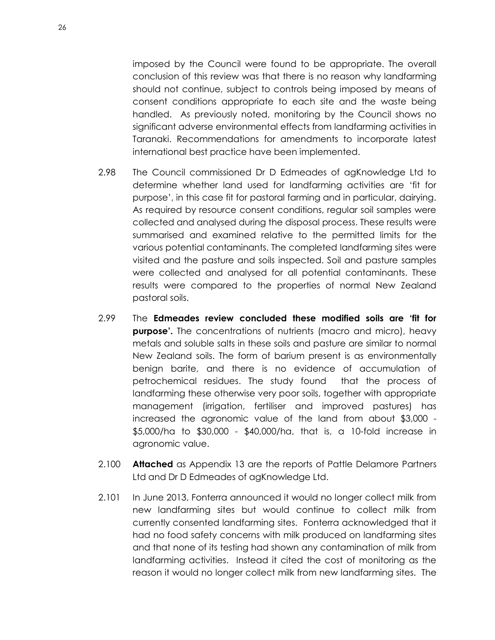imposed by the Council were found to be appropriate. The overall conclusion of this review was that there is no reason why landfarming should not continue, subject to controls being imposed by means of consent conditions appropriate to each site and the waste being handled. As previously noted, monitoring by the Council shows no significant adverse environmental effects from landfarming activities in Taranaki. Recommendations for amendments to incorporate latest international best practice have been implemented.

- 2.98 The Council commissioned Dr D Edmeades of agKnowledge Ltd to determine whether land used for landfarming activities are 'fit for purpose', in this case fit for pastoral farming and in particular, dairying. As required by resource consent conditions, regular soil samples were collected and analysed during the disposal process. These results were summarised and examined relative to the permitted limits for the various potential contaminants. The completed landfarming sites were visited and the pasture and soils inspected. Soil and pasture samples were collected and analysed for all potential contaminants. These results were compared to the properties of normal New Zealand pastoral soils.
- 2.99 The **Edmeades review concluded these modified soils are 'fit for purpose'.** The concentrations of nutrients (macro and micro), heavy metals and soluble salts in these soils and pasture are similar to normal New Zealand soils. The form of barium present is as environmentally benign barite, and there is no evidence of accumulation of petrochemical residues. The study found that the process of landfarming these otherwise very poor soils, together with appropriate management (irrigation, fertiliser and improved pastures) has increased the agronomic value of the land from about \$3,000 - \$5,000/ha to \$30,000 - \$40,000/ha, that is, a 10-fold increase in agronomic value.
- 2.100 **Attached** as Appendix 13 are the reports of Pattle Delamore Partners Ltd and Dr D Edmeades of agKnowledge Ltd.
- 2.101 In June 2013, Fonterra announced it would no longer collect milk from new landfarming sites but would continue to collect milk from currently consented landfarming sites. Fonterra acknowledged that it had no food safety concerns with milk produced on landfarming sites and that none of its testing had shown any contamination of milk from landfarming activities. Instead it cited the cost of monitoring as the reason it would no longer collect milk from new landfarming sites. The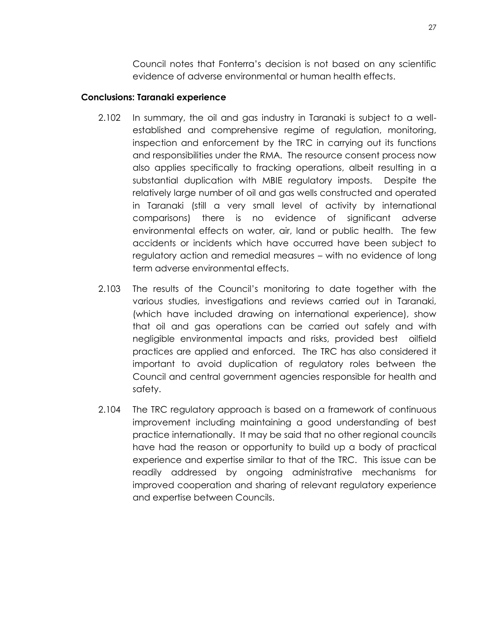Council notes that Fonterra's decision is not based on any scientific evidence of adverse environmental or human health effects.

## <span id="page-30-0"></span>**Conclusions: Taranaki experience**

- 2.102 In summary, the oil and gas industry in Taranaki is subject to a wellestablished and comprehensive regime of regulation, monitoring, inspection and enforcement by the TRC in carrying out its functions and responsibilities under the RMA. The resource consent process now also applies specifically to fracking operations, albeit resulting in a substantial duplication with MBIE regulatory imposts. Despite the relatively large number of oil and gas wells constructed and operated in Taranaki (still a very small level of activity by international comparisons) there is no evidence of significant adverse environmental effects on water, air, land or public health. The few accidents or incidents which have occurred have been subject to regulatory action and remedial measures – with no evidence of long term adverse environmental effects.
- 2.103 The results of the Council's monitoring to date together with the various studies, investigations and reviews carried out in Taranaki, (which have included drawing on international experience), show that oil and gas operations can be carried out safely and with negligible environmental impacts and risks, provided best oilfield practices are applied and enforced. The TRC has also considered it important to avoid duplication of regulatory roles between the Council and central government agencies responsible for health and safety.
- 2.104 The TRC regulatory approach is based on a framework of continuous improvement including maintaining a good understanding of best practice internationally. It may be said that no other regional councils have had the reason or opportunity to build up a body of practical experience and expertise similar to that of the TRC. This issue can be readily addressed by ongoing administrative mechanisms for improved cooperation and sharing of relevant regulatory experience and expertise between Councils.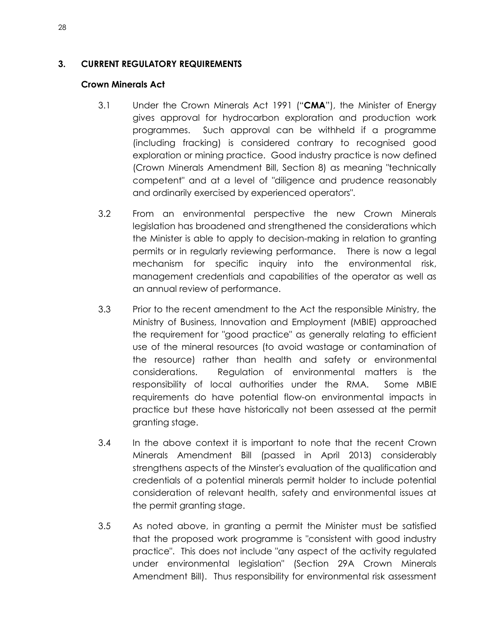## <span id="page-31-1"></span><span id="page-31-0"></span>**3. CURRENT REGULATORY REQUIREMENTS**

## **Crown Minerals Act**

- 3.1 Under the Crown Minerals Act 1991 ("**CMA**"), the Minister of Energy gives approval for hydrocarbon exploration and production work programmes. Such approval can be withheld if a programme (including fracking) is considered contrary to recognised good exploration or mining practice. Good industry practice is now defined (Crown Minerals Amendment Bill, Section 8) as meaning "technically competent" and at a level of "diligence and prudence reasonably and ordinarily exercised by experienced operators".
- 3.2 From an environmental perspective the new Crown Minerals legislation has broadened and strengthened the considerations which the Minister is able to apply to decision-making in relation to granting permits or in regularly reviewing performance. There is now a legal mechanism for specific inquiry into the environmental risk, management credentials and capabilities of the operator as well as an annual review of performance.
- 3.3 Prior to the recent amendment to the Act the responsible Ministry, the Ministry of Business, Innovation and Employment (MBIE) approached the requirement for "good practice" as generally relating to efficient use of the mineral resources (to avoid wastage or contamination of the resource) rather than health and safety or environmental considerations. Regulation of environmental matters is the responsibility of local authorities under the RMA. Some MBIE requirements do have potential flow-on environmental impacts in practice but these have historically not been assessed at the permit granting stage.
- 3.4 In the above context it is important to note that the recent Crown Minerals Amendment Bill (passed in April 2013) considerably strengthens aspects of the Minster's evaluation of the qualification and credentials of a potential minerals permit holder to include potential consideration of relevant health, safety and environmental issues at the permit granting stage.
- 3.5 As noted above, in granting a permit the Minister must be satisfied that the proposed work programme is "consistent with good industry practice". This does not include "any aspect of the activity regulated under environmental legislation" (Section 29A Crown Minerals Amendment Bill). Thus responsibility for environmental risk assessment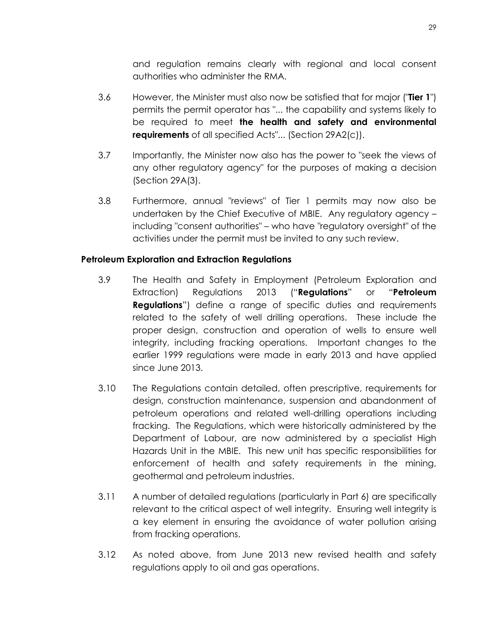and regulation remains clearly with regional and local consent authorities who administer the RMA.

- 3.6 However, the Minister must also now be satisfied that for major ("**Tier 1**") permits the permit operator has "... the capability and systems likely to be required to meet **the health and safety and environmental requirements** of all specified Acts"... (Section 29A2(c)).
- 3.7 Importantly, the Minister now also has the power to "seek the views of any other regulatory agency" for the purposes of making a decision (Section 29A(3).
- 3.8 Furthermore, annual "reviews" of Tier 1 permits may now also be undertaken by the Chief Executive of MBIE. Any regulatory agency – including "consent authorities" – who have "regulatory oversight" of the activities under the permit must be invited to any such review.

## <span id="page-32-0"></span>**Petroleum Exploration and Extraction Regulations**

- 3.9 The Health and Safety in Employment (Petroleum Exploration and Extraction) Regulations 2013 ("**Regulations**" or "**Petroleum Regulations**") define a range of specific duties and requirements related to the safety of well drilling operations. These include the proper design, construction and operation of wells to ensure well integrity, including fracking operations. Important changes to the earlier 1999 regulations were made in early 2013 and have applied since June 2013.
- 3.10 The Regulations contain detailed, often prescriptive, requirements for design, construction maintenance, suspension and abandonment of petroleum operations and related well-drilling operations including fracking. The Regulations, which were historically administered by the Department of Labour, are now administered by a specialist High Hazards Unit in the MBIE. This new unit has specific responsibilities for enforcement of health and safety requirements in the mining, geothermal and petroleum industries.
- 3.11 A number of detailed regulations (particularly in Part 6) are specifically relevant to the critical aspect of well integrity. Ensuring well integrity is a key element in ensuring the avoidance of water pollution arising from fracking operations.
- 3.12 As noted above, from June 2013 new revised health and safety regulations apply to oil and gas operations.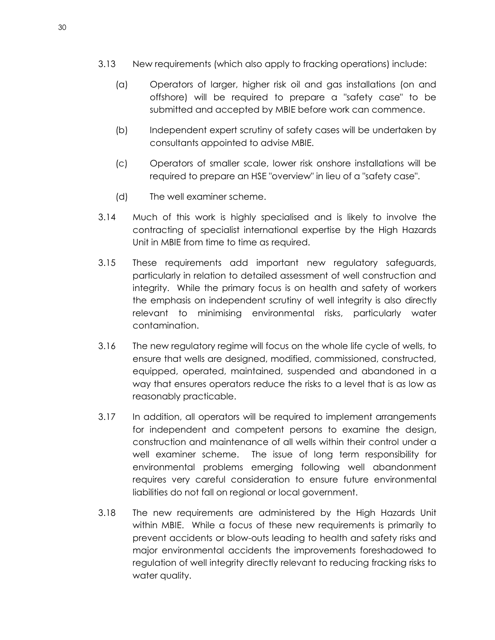- 3.13 New requirements (which also apply to fracking operations) include:
	- (a) Operators of larger, higher risk oil and gas installations (on and offshore) will be required to prepare a "safety case" to be submitted and accepted by MBIE before work can commence.
	- (b) Independent expert scrutiny of safety cases will be undertaken by consultants appointed to advise MBIE.
	- (c) Operators of smaller scale, lower risk onshore installations will be required to prepare an HSE "overview" in lieu of a "safety case".
	- (d) The well examiner scheme.
- 3.14 Much of this work is highly specialised and is likely to involve the contracting of specialist international expertise by the High Hazards Unit in MBIE from time to time as required.
- 3.15 These requirements add important new regulatory safeguards, particularly in relation to detailed assessment of well construction and integrity. While the primary focus is on health and safety of workers the emphasis on independent scrutiny of well integrity is also directly relevant to minimising environmental risks, particularly water contamination.
- 3.16 The new regulatory regime will focus on the whole life cycle of wells, to ensure that wells are designed, modified, commissioned, constructed, equipped, operated, maintained, suspended and abandoned in a way that ensures operators reduce the risks to a level that is as low as reasonably practicable.
- 3.17 In addition, all operators will be required to implement arrangements for independent and competent persons to examine the design, construction and maintenance of all wells within their control under a well examiner scheme. The issue of long term responsibility for environmental problems emerging following well abandonment requires very careful consideration to ensure future environmental liabilities do not fall on regional or local government.
- 3.18 The new requirements are administered by the High Hazards Unit within MBIE. While a focus of these new requirements is primarily to prevent accidents or blow-outs leading to health and safety risks and major environmental accidents the improvements foreshadowed to regulation of well integrity directly relevant to reducing fracking risks to water quality.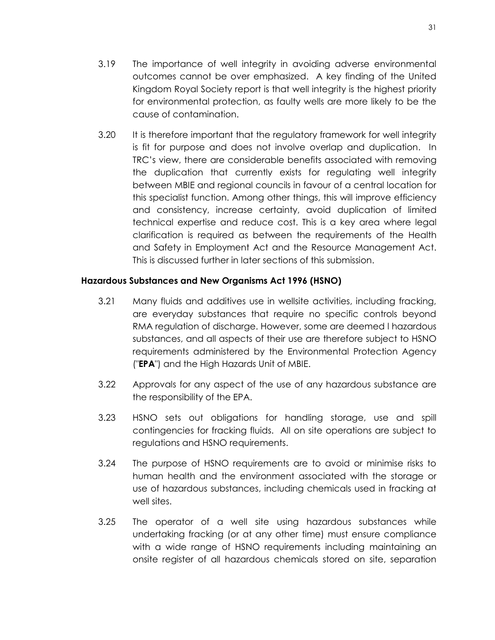- 3.19 The importance of well integrity in avoiding adverse environmental outcomes cannot be over emphasized. A key finding of the United Kingdom Royal Society report is that well integrity is the highest priority for environmental protection, as faulty wells are more likely to be the cause of contamination.
- 3.20 It is therefore important that the regulatory framework for well integrity is fit for purpose and does not involve overlap and duplication. In TRC's view, there are considerable benefits associated with removing the duplication that currently exists for regulating well integrity between MBIE and regional councils in favour of a central location for this specialist function. Among other things, this will improve efficiency and consistency, increase certainty, avoid duplication of limited technical expertise and reduce cost. This is a key area where legal clarification is required as between the requirements of the Health and Safety in Employment Act and the Resource Management Act. This is discussed further in later sections of this submission.

## <span id="page-34-0"></span>**Hazardous Substances and New Organisms Act 1996 (HSNO)**

- 3.21 Many fluids and additives use in wellsite activities, including fracking, are everyday substances that require no specific controls beyond RMA regulation of discharge. However, some are deemed l hazardous substances, and all aspects of their use are therefore subject to HSNO requirements administered by the Environmental Protection Agency ("**EPA**") and the High Hazards Unit of MBIE.
- 3.22 Approvals for any aspect of the use of any hazardous substance are the responsibility of the EPA.
- 3.23 HSNO sets out obligations for handling storage, use and spill contingencies for fracking fluids. All on site operations are subject to regulations and HSNO requirements.
- 3.24 The purpose of HSNO requirements are to avoid or minimise risks to human health and the environment associated with the storage or use of hazardous substances, including chemicals used in fracking at well sites.
- 3.25 The operator of a well site using hazardous substances while undertaking fracking (or at any other time) must ensure compliance with a wide range of HSNO requirements including maintaining an onsite register of all hazardous chemicals stored on site, separation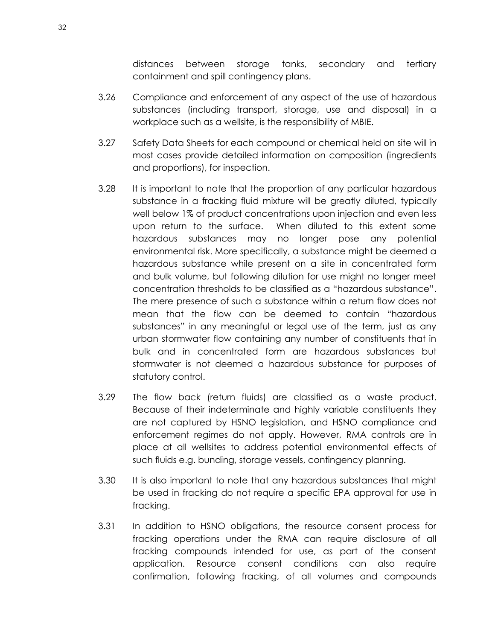distances between storage tanks, secondary and tertiary containment and spill contingency plans.

- 3.26 Compliance and enforcement of any aspect of the use of hazardous substances (including transport, storage, use and disposal) in a workplace such as a wellsite, is the responsibility of MBIE.
- 3.27 Safety Data Sheets for each compound or chemical held on site will in most cases provide detailed information on composition (ingredients and proportions), for inspection.
- 3.28 It is important to note that the proportion of any particular hazardous substance in a fracking fluid mixture will be greatly diluted, typically well below 1% of product concentrations upon injection and even less upon return to the surface. When diluted to this extent some hazardous substances may no longer pose any potential environmental risk. More specifically, a substance might be deemed a hazardous substance while present on a site in concentrated form and bulk volume, but following dilution for use might no longer meet concentration thresholds to be classified as a "hazardous substance". The mere presence of such a substance within a return flow does not mean that the flow can be deemed to contain "hazardous substances" in any meaningful or legal use of the term, just as any urban stormwater flow containing any number of constituents that in bulk and in concentrated form are hazardous substances but stormwater is not deemed a hazardous substance for purposes of statutory control.
- 3.29 The flow back (return fluids) are classified as a waste product. Because of their indeterminate and highly variable constituents they are not captured by HSNO legislation, and HSNO compliance and enforcement regimes do not apply. However, RMA controls are in place at all wellsites to address potential environmental effects of such fluids e.g. bunding, storage vessels, contingency planning.
- 3.30 It is also important to note that any hazardous substances that might be used in fracking do not require a specific EPA approval for use in fracking.
- 3.31 In addition to HSNO obligations, the resource consent process for fracking operations under the RMA can require disclosure of all fracking compounds intended for use, as part of the consent application. Resource consent conditions can also require confirmation, following fracking, of all volumes and compounds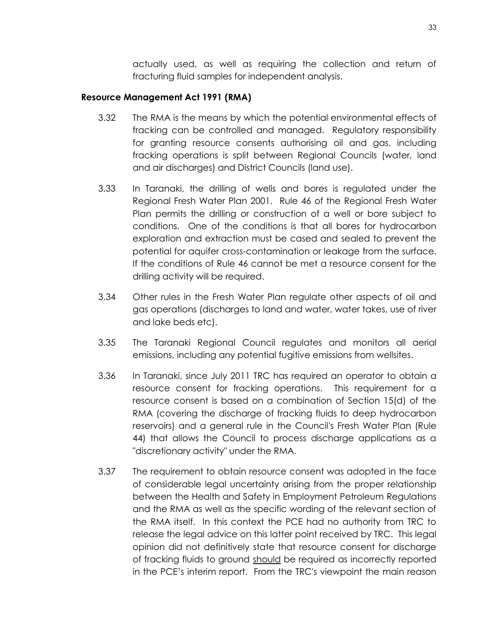actually used, as well as requiring the collection and return of fracturing fluid samples for independent analysis.

#### **Resource Management Act 1991 (RMA)**

- 3.32 The RMA is the means by which the potential environmental effects of fracking can be controlled and managed. Regulatory responsibility for granting resource consents authorising oil and gas, including fracking operations is split between Regional Councils (water*,* land and air discharges) and District Councils (land use).
- 3.33 In Taranaki, the drilling of wells and bores is regulated under the Regional Fresh Water Plan 2001. Rule 46 of the Regional Fresh Water Plan permits the drilling or construction of a well or bore subject to conditions. One of the conditions is that all bores for hydrocarbon exploration and extraction must be cased and sealed to prevent the potential for aquifer cross-contamination or leakage from the surface. If the conditions of Rule 46 cannot be met a resource consent for the drilling activity will be required.
- 3.34 Other rules in the Fresh Water Plan regulate other aspects of oil and gas operations (discharges to land and water, water takes, use of river and lake beds etc).
- 3.35 The Taranaki Regional Council regulates and monitors all aerial emissions, including any potential fugitive emissions from wellsites.
- 3.36 In Taranaki, since July 2011 TRC has required an operator to obtain a resource consent for fracking operations. This requirement for a resource consent is based on a combination of Section 15(d) of the RMA (covering the discharge of fracking fluids to deep hydrocarbon reservoirs) and a general rule in the Council's Fresh Water Plan (Rule 44) that allows the Council to process discharge applications as a "discretionary activity" under the RMA.
- 3.37 The requirement to obtain resource consent was adopted in the face of considerable legal uncertainty arising from the proper relationship between the Health and Safety in Employment Petroleum Regulations and the RMA as well as the specific wording of the relevant section of the RMA itself. In this context the PCE had no authority from TRC to release the legal advice on this latter point received by TRC. This legal opinion did not definitively state that resource consent for discharge of fracking fluids to ground should be required as incorrectly reported in the PCE's interim report. From the TRC's viewpoint the main reason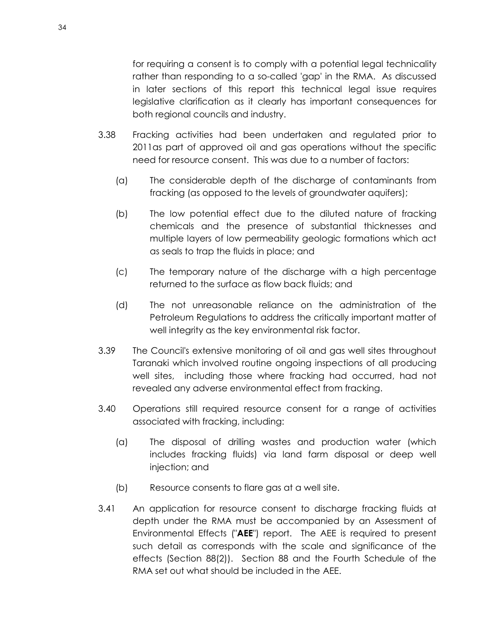for requiring a consent is to comply with a potential legal technicality rather than responding to a so-called 'gap' in the RMA. As discussed in later sections of this report this technical legal issue requires legislative clarification as it clearly has important consequences for both regional councils and industry.

- 3.38 Fracking activities had been undertaken and regulated prior to 2011as part of approved oil and gas operations without the specific need for resource consent. This was due to a number of factors:
	- (a) The considerable depth of the discharge of contaminants from fracking (as opposed to the levels of groundwater aquifers);
	- (b) The low potential effect due to the diluted nature of fracking chemicals and the presence of substantial thicknesses and multiple layers of low permeability geologic formations which act as seals to trap the fluids in place; and
	- (c) The temporary nature of the discharge with a high percentage returned to the surface as flow back fluids; and
	- (d) The not unreasonable reliance on the administration of the Petroleum Regulations to address the critically important matter of well integrity as the key environmental risk factor.
- 3.39 The Council's extensive monitoring of oil and gas well sites throughout Taranaki which involved routine ongoing inspections of all producing well sites, including those where fracking had occurred, had not revealed any adverse environmental effect from fracking.
- 3.40 Operations still required resource consent for a range of activities associated with fracking, including:
	- (a) The disposal of drilling wastes and production water (which includes fracking fluids) via land farm disposal or deep well injection; and
	- (b) Resource consents to flare gas at a well site.
- 3.41 An application for resource consent to discharge fracking fluids at depth under the RMA must be accompanied by an Assessment of Environmental Effects ("**AEE**") report. The AEE is required to present such detail as corresponds with the scale and significance of the effects (Section 88(2)). Section 88 and the Fourth Schedule of the RMA set out what should be included in the AEE.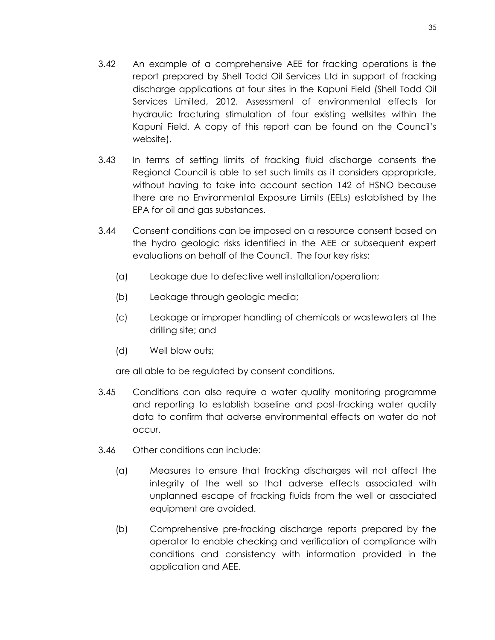- 3.42 An example of a comprehensive AEE for fracking operations is the report prepared by Shell Todd Oil Services Ltd in support of fracking discharge applications at four sites in the Kapuni Field (Shell Todd Oil Services Limited, 2012. Assessment of environmental effects for hydraulic fracturing stimulation of four existing wellsites within the Kapuni Field. A copy of this report can be found on the Council's website).
- 3.43 In terms of setting limits of fracking fluid discharge consents the Regional Council is able to set such limits as it considers appropriate, without having to take into account section 142 of HSNO because there are no Environmental Exposure Limits (EELs) established by the EPA for oil and gas substances.
- 3.44 Consent conditions can be imposed on a resource consent based on the hydro geologic risks identified in the AEE or subsequent expert evaluations on behalf of the Council. The four key risks:
	- (a) Leakage due to defective well installation/operation;
	- (b) Leakage through geologic media;
	- (c) Leakage or improper handling of chemicals or wastewaters at the drilling site; and
	- (d) Well blow outs;

are all able to be regulated by consent conditions.

- 3.45 Conditions can also require a water quality monitoring programme and reporting to establish baseline and post-fracking water quality data to confirm that adverse environmental effects on water do not occur.
- 3.46 Other conditions can include:
	- (a) Measures to ensure that fracking discharges will not affect the integrity of the well so that adverse effects associated with unplanned escape of fracking fluids from the well or associated equipment are avoided.
	- (b) Comprehensive pre-fracking discharge reports prepared by the operator to enable checking and verification of compliance with conditions and consistency with information provided in the application and AEE.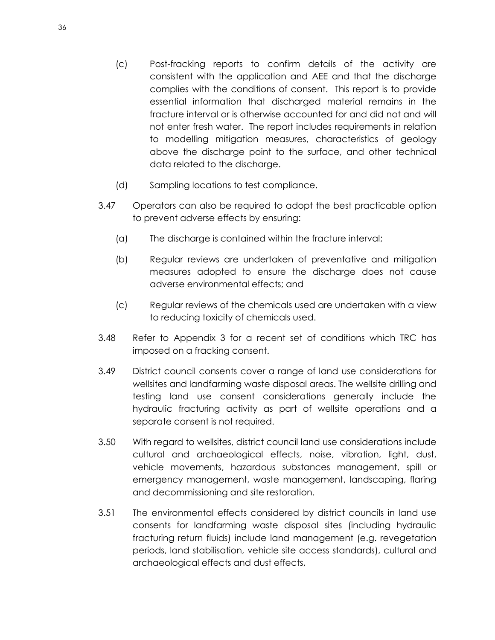- (c) Post-fracking reports to confirm details of the activity are consistent with the application and AEE and that the discharge complies with the conditions of consent. This report is to provide essential information that discharged material remains in the fracture interval or is otherwise accounted for and did not and will not enter fresh water. The report includes requirements in relation to modelling mitigation measures, characteristics of geology above the discharge point to the surface, and other technical data related to the discharge.
- (d) Sampling locations to test compliance.
- 3.47 Operators can also be required to adopt the best practicable option to prevent adverse effects by ensuring:
	- (a) The discharge is contained within the fracture interval;
	- (b) Regular reviews are undertaken of preventative and mitigation measures adopted to ensure the discharge does not cause adverse environmental effects; and
	- (c) Regular reviews of the chemicals used are undertaken with a view to reducing toxicity of chemicals used.
- 3.48 Refer to Appendix 3 for a recent set of conditions which TRC has imposed on a fracking consent.
- 3.49 District council consents cover a range of land use considerations for wellsites and landfarming waste disposal areas. The wellsite drilling and testing land use consent considerations generally include the hydraulic fracturing activity as part of wellsite operations and a separate consent is not required.
- 3.50 With regard to wellsites, district council land use considerations include cultural and archaeological effects, noise, vibration, light, dust, vehicle movements, hazardous substances management, spill or emergency management, waste management, landscaping, flaring and decommissioning and site restoration.
- 3.51 The environmental effects considered by district councils in land use consents for landfarming waste disposal sites (including hydraulic fracturing return fluids) include land management (e.g. revegetation periods, land stabilisation, vehicle site access standards), cultural and archaeological effects and dust effects,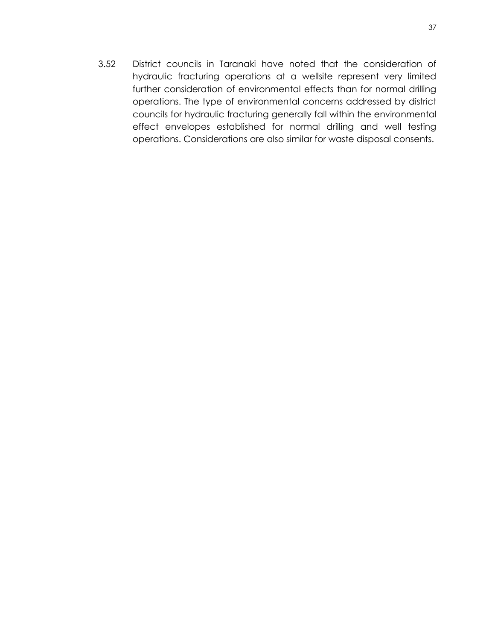3.52 District councils in Taranaki have noted that the consideration of hydraulic fracturing operations at a wellsite represent very limited further consideration of environmental effects than for normal drilling operations. The type of environmental concerns addressed by district councils for hydraulic fracturing generally fall within the environmental effect envelopes established for normal drilling and well testing operations. Considerations are also similar for waste disposal consents.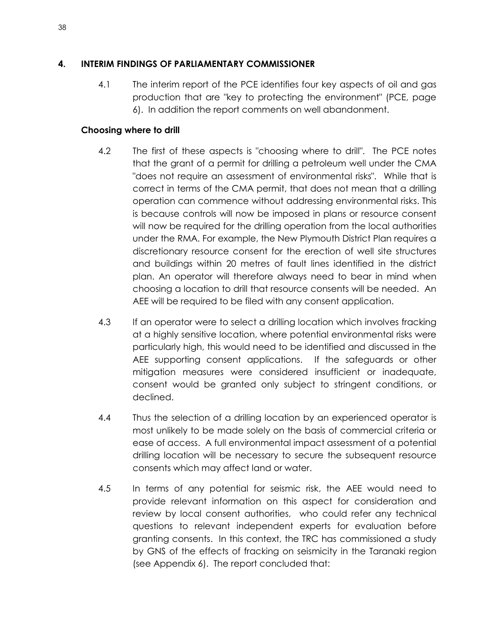## **4. INTERIM FINDINGS OF PARLIAMENTARY COMMISSIONER**

4.1 The interim report of the PCE identifies four key aspects of oil and gas production that are "key to protecting the environment" (PCE, page 6). In addition the report comments on well abandonment.

# **Choosing where to drill**

- 4.2 The first of these aspects is "choosing where to drill". The PCE notes that the grant of a permit for drilling a petroleum well under the CMA "does not require an assessment of environmental risks". While that is correct in terms of the CMA permit, that does not mean that a drilling operation can commence without addressing environmental risks. This is because controls will now be imposed in plans or resource consent will now be required for the drilling operation from the local authorities under the RMA. For example, the New Plymouth District Plan requires a discretionary resource consent for the erection of well site structures and buildings within 20 metres of fault lines identified in the district plan. An operator will therefore always need to bear in mind when choosing a location to drill that resource consents will be needed. An AEE will be required to be filed with any consent application.
- 4.3 If an operator were to select a drilling location which involves fracking at a highly sensitive location, where potential environmental risks were particularly high, this would need to be identified and discussed in the AEE supporting consent applications. If the safeguards or other mitigation measures were considered insufficient or inadequate, consent would be granted only subject to stringent conditions, or declined.
- 4.4 Thus the selection of a drilling location by an experienced operator is most unlikely to be made solely on the basis of commercial criteria or ease of access. A full environmental impact assessment of a potential drilling location will be necessary to secure the subsequent resource consents which may affect land or water.
- 4.5 In terms of any potential for seismic risk, the AEE would need to provide relevant information on this aspect for consideration and review by local consent authorities, who could refer any technical questions to relevant independent experts for evaluation before granting consents. In this context, the TRC has commissioned a study by GNS of the effects of fracking on seismicity in the Taranaki region (see Appendix 6). The report concluded that: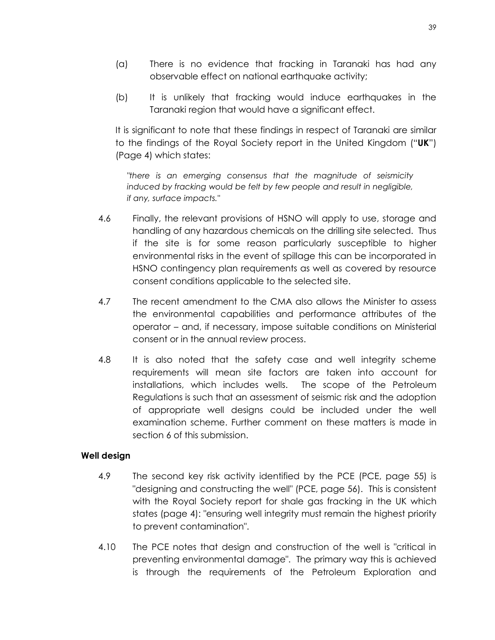- (a) There is no evidence that fracking in Taranaki has had any observable effect on national earthquake activity;
- (b) It is unlikely that fracking would induce earthquakes in the Taranaki region that would have a significant effect.

It is significant to note that these findings in respect of Taranaki are similar to the findings of the Royal Society report in the United Kingdom ("**UK**") (Page 4) which states:

*"there is an emerging consensus that the magnitude of seismicity induced by fracking would be felt by few people and result in negligible, if any, surface impacts."* 

- 4.6 Finally, the relevant provisions of HSNO will apply to use, storage and handling of any hazardous chemicals on the drilling site selected. Thus if the site is for some reason particularly susceptible to higher environmental risks in the event of spillage this can be incorporated in HSNO contingency plan requirements as well as covered by resource consent conditions applicable to the selected site.
- 4.7 The recent amendment to the CMA also allows the Minister to assess the environmental capabilities and performance attributes of the operator – and, if necessary, impose suitable conditions on Ministerial consent or in the annual review process.
- 4.8 It is also noted that the safety case and well integrity scheme requirements will mean site factors are taken into account for installations, which includes wells. The scope of the Petroleum Regulations is such that an assessment of seismic risk and the adoption of appropriate well designs could be included under the well examination scheme. Further comment on these matters is made in section 6 of this submission.

### **Well design**

- 4.9 The second key risk activity identified by the PCE (PCE, page 55) is "designing and constructing the well" (PCE, page 56). This is consistent with the Royal Society report for shale gas fracking in the UK which states (page 4): "ensuring well integrity must remain the highest priority to prevent contamination".
- 4.10 The PCE notes that design and construction of the well is "critical in preventing environmental damage". The primary way this is achieved is through the requirements of the Petroleum Exploration and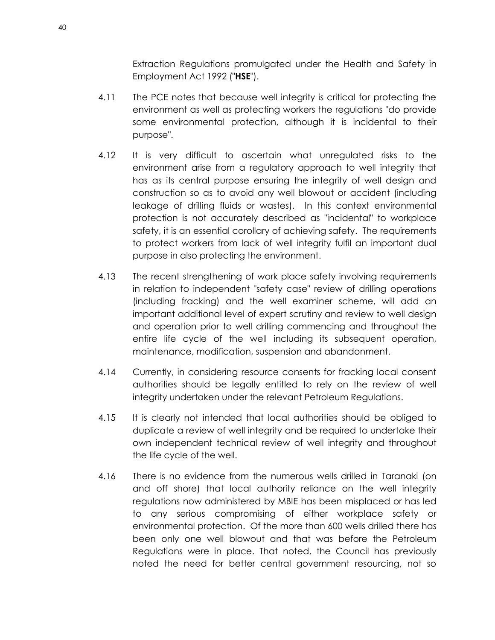Extraction Regulations promulgated under the Health and Safety in Employment Act 1992 ("**HSE**").

- 4.11 The PCE notes that because well integrity is critical for protecting the environment as well as protecting workers the regulations "do provide some environmental protection, although it is incidental to their purpose".
- 4.12 It is very difficult to ascertain what unregulated risks to the environment arise from a regulatory approach to well integrity that has as its central purpose ensuring the integrity of well design and construction so as to avoid any well blowout or accident (including leakage of drilling fluids or wastes). In this context environmental protection is not accurately described as "incidental" to workplace safety, it is an essential corollary of achieving safety. The requirements to protect workers from lack of well integrity fulfil an important dual purpose in also protecting the environment.
- 4.13 The recent strengthening of work place safety involving requirements in relation to independent "safety case" review of drilling operations (including fracking) and the well examiner scheme, will add an important additional level of expert scrutiny and review to well design and operation prior to well drilling commencing and throughout the entire life cycle of the well including its subsequent operation, maintenance, modification, suspension and abandonment.
- 4.14 Currently, in considering resource consents for fracking local consent authorities should be legally entitled to rely on the review of well integrity undertaken under the relevant Petroleum Regulations.
- 4.15 It is clearly not intended that local authorities should be obliged to duplicate a review of well integrity and be required to undertake their own independent technical review of well integrity and throughout the life cycle of the well.
- 4.16 There is no evidence from the numerous wells drilled in Taranaki (on and off shore) that local authority reliance on the well integrity regulations now administered by MBIE has been misplaced or has led to any serious compromising of either workplace safety or environmental protection. Of the more than 600 wells drilled there has been only one well blowout and that was before the Petroleum Regulations were in place. That noted, the Council has previously noted the need for better central government resourcing, not so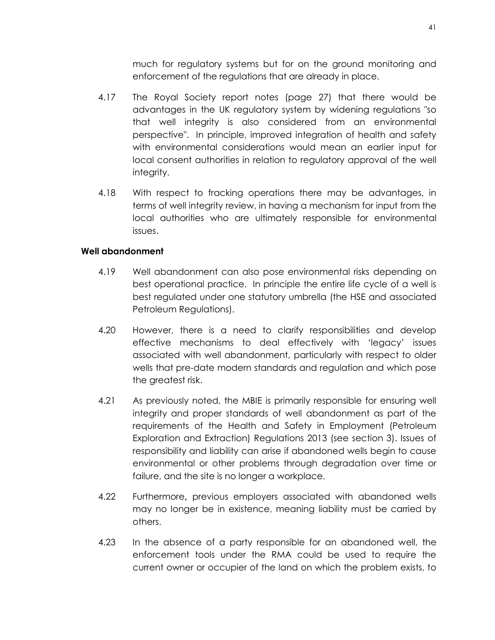much for regulatory systems but for on the ground monitoring and enforcement of the regulations that are already in place.

- 4.17 The Royal Society report notes (page 27) that there would be advantages in the UK regulatory system by widening regulations "so that well integrity is also considered from an environmental perspective". In principle, improved integration of health and safety with environmental considerations would mean an earlier input for local consent authorities in relation to regulatory approval of the well integrity.
- 4.18 With respect to fracking operations there may be advantages, in terms of well integrity review, in having a mechanism for input from the local authorities who are ultimately responsible for environmental issues.

#### **Well abandonment**

- 4.19 Well abandonment can also pose environmental risks depending on best operational practice. In principle the entire life cycle of a well is best regulated under one statutory umbrella (the HSE and associated Petroleum Regulations).
- 4.20 However, there is a need to clarify responsibilities and develop effective mechanisms to deal effectively with 'legacy' issues associated with well abandonment, particularly with respect to older wells that pre-date modern standards and regulation and which pose the greatest risk.
- 4.21 As previously noted, the MBIE is primarily responsible for ensuring well integrity and proper standards of well abandonment as part of the requirements of the Health and Safety in Employment (Petroleum Exploration and Extraction) Regulations 2013 (see section 3). Issues of responsibility and liability can arise if abandoned wells begin to cause environmental or other problems through degradation over time or failure, and the site is no longer a workplace.
- 4.22 Furthermore**,** previous employers associated with abandoned wells may no longer be in existence, meaning liability must be carried by others.
- 4.23 In the absence of a party responsible for an abandoned well, the enforcement tools under the RMA could be used to require the current owner or occupier of the land on which the problem exists, to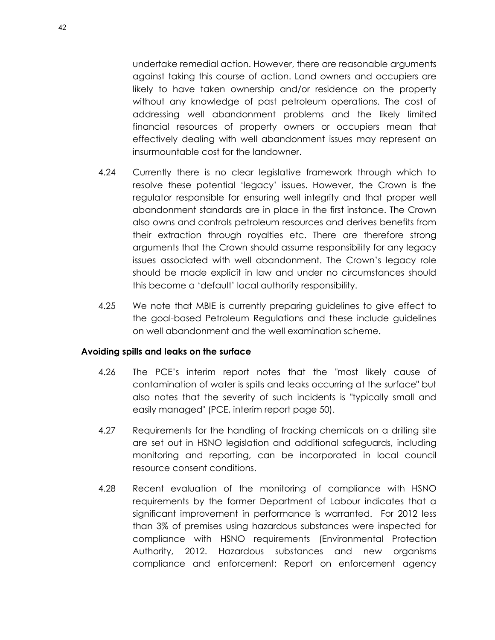undertake remedial action. However, there are reasonable arguments against taking this course of action. Land owners and occupiers are likely to have taken ownership and/or residence on the property without any knowledge of past petroleum operations. The cost of addressing well abandonment problems and the likely limited financial resources of property owners or occupiers mean that effectively dealing with well abandonment issues may represent an insurmountable cost for the landowner.

- 4.24 Currently there is no clear legislative framework through which to resolve these potential 'legacy' issues. However, the Crown is the regulator responsible for ensuring well integrity and that proper well abandonment standards are in place in the first instance. The Crown also owns and controls petroleum resources and derives benefits from their extraction through royalties etc. There are therefore strong arguments that the Crown should assume responsibility for any legacy issues associated with well abandonment. The Crown's legacy role should be made explicit in law and under no circumstances should this become a 'default' local authority responsibility.
- 4.25 We note that MBIE is currently preparing guidelines to give effect to the goal-based Petroleum Regulations and these include guidelines on well abandonment and the well examination scheme.

#### **Avoiding spills and leaks on the surface**

- 4.26 The PCE's interim report notes that the "most likely cause of contamination of water is spills and leaks occurring at the surface" but also notes that the severity of such incidents is "typically small and easily managed" (PCE, interim report page 50).
- 4.27 Requirements for the handling of fracking chemicals on a drilling site are set out in HSNO legislation and additional safeguards, including monitoring and reporting, can be incorporated in local council resource consent conditions.
- 4.28 Recent evaluation of the monitoring of compliance with HSNO requirements by the former Department of Labour indicates that a significant improvement in performance is warranted. For 2012 less than 3% of premises using hazardous substances were inspected for compliance with HSNO requirements (Environmental Protection Authority, 2012. Hazardous substances and new organisms compliance and enforcement: Report on enforcement agency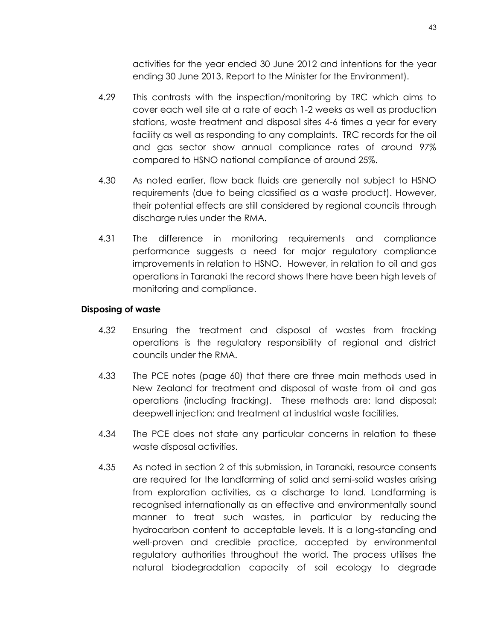activities for the year ended 30 June 2012 and intentions for the year ending 30 June 2013. Report to the Minister for the Environment).

- 4.29 This contrasts with the inspection/monitoring by TRC which aims to cover each well site at a rate of each 1-2 weeks as well as production stations, waste treatment and disposal sites 4-6 times a year for every facility as well as responding to any complaints. TRC records for the oil and gas sector show annual compliance rates of around 97% compared to HSNO national compliance of around 25%.
- 4.30 As noted earlier, flow back fluids are generally not subject to HSNO requirements (due to being classified as a waste product). However, their potential effects are still considered by regional councils through discharge rules under the RMA.
- 4.31 The difference in monitoring requirements and compliance performance suggests a need for major regulatory compliance improvements in relation to HSNO. However, in relation to oil and gas operations in Taranaki the record shows there have been high levels of monitoring and compliance.

### **Disposing of waste**

- 4.32 Ensuring the treatment and disposal of wastes from fracking operations is the regulatory responsibility of regional and district councils under the RMA.
- 4.33 The PCE notes (page 60) that there are three main methods used in New Zealand for treatment and disposal of waste from oil and gas operations (including fracking). These methods are: land disposal; deepwell injection; and treatment at industrial waste facilities.
- 4.34 The PCE does not state any particular concerns in relation to these waste disposal activities.
- 4.35 As noted in section 2 of this submission, in Taranaki, resource consents are required for the landfarming of solid and semi-solid wastes arising from exploration activities, as a discharge to land. Landfarming is recognised internationally as an effective and environmentally sound manner to treat such wastes, in particular by reducing the hydrocarbon content to acceptable levels. It is a long-standing and well-proven and credible practice, accepted by environmental regulatory authorities throughout the world. The process utilises the natural biodegradation capacity of soil ecology to degrade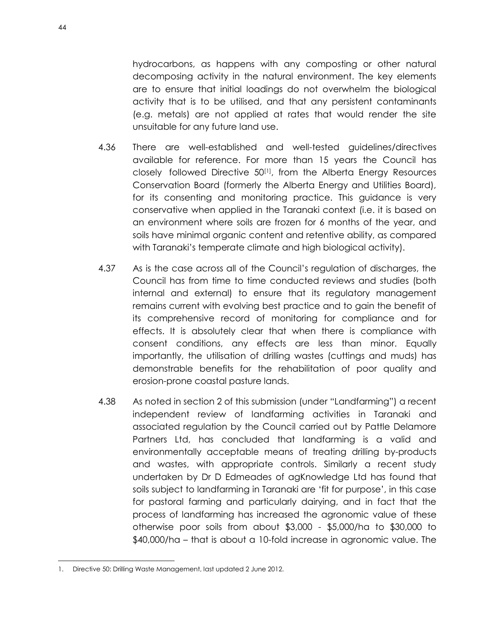hydrocarbons, as happens with any composting or other natural decomposing activity in the natural environment. The key elements are to ensure that initial loadings do not overwhelm the biological activity that is to be utilised, and that any persistent contaminants (e.g. metals) are not applied at rates that would render the site unsuitable for any future land use.

- 4.36 There are well-established and well-tested guidelines/directives available for reference. For more than 15 years the Council has closely followed Directive 50[1], from the Alberta Energy Resources Conservation Board (formerly the Alberta Energy and Utilities Board), for its consenting and monitoring practice. This guidance is very conservative when applied in the Taranaki context (i.e. it is based on an environment where soils are frozen for 6 months of the year, and soils have minimal organic content and retentive ability, as compared with Taranaki's temperate climate and high biological activity).
- 4.37 As is the case across all of the Council's regulation of discharges, the Council has from time to time conducted reviews and studies (both internal and external) to ensure that its regulatory management remains current with evolving best practice and to gain the benefit of its comprehensive record of monitoring for compliance and for effects. It is absolutely clear that when there is compliance with consent conditions, any effects are less than minor. Equally importantly, the utilisation of drilling wastes (cuttings and muds) has demonstrable benefits for the rehabilitation of poor quality and erosion-prone coastal pasture lands.
- 4.38 As noted in section 2 of this submission (under "Landfarming") a recent independent review of landfarming activities in Taranaki and associated regulation by the Council carried out by Pattle Delamore Partners Ltd, has concluded that landfarming is a valid and environmentally acceptable means of treating drilling by-products and wastes, with appropriate controls. Similarly a recent study undertaken by Dr D Edmeades of agKnowledge Ltd has found that soils subject to landfarming in Taranaki are 'fit for purpose', in this case for pastoral farming and particularly dairying, and in fact that the process of landfarming has increased the agronomic value of these otherwise poor soils from about \$3,000 - \$5,000/ha to \$30,000 to \$40,000/ha – that is about a 10-fold increase in agronomic value. The

 $\overline{a}$ 

<sup>1.</sup> Directive 50: Drilling Waste Management, last updated 2 June 2012.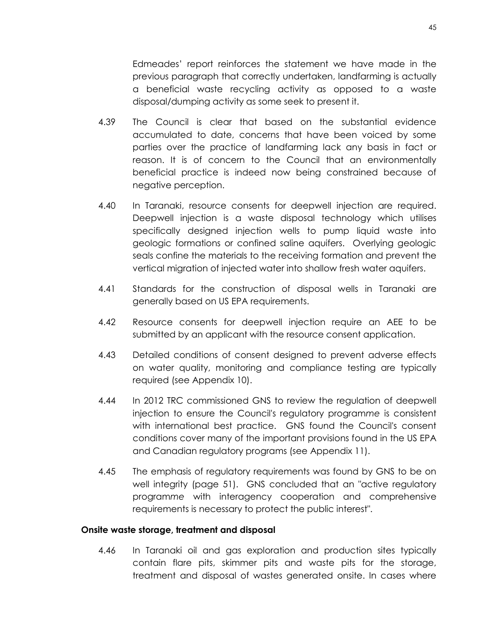Edmeades' report reinforces the statement we have made in the previous paragraph that correctly undertaken, landfarming is actually a beneficial waste recycling activity as opposed to a waste disposal/dumping activity as some seek to present it.

- 4.39 The Council is clear that based on the substantial evidence accumulated to date, concerns that have been voiced by some parties over the practice of landfarming lack any basis in fact or reason. It is of concern to the Council that an environmentally beneficial practice is indeed now being constrained because of negative perception.
- 4.40 In Taranaki, resource consents for deepwell injection are required. Deepwell injection is a waste disposal technology which utilises specifically designed injection wells to pump liquid waste into geologic formations or confined saline aquifers. Overlying geologic seals confine the materials to the receiving formation and prevent the vertical migration of injected water into shallow fresh water aquifers.
- 4.41 Standards for the construction of disposal wells in Taranaki are generally based on US EPA requirements.
- 4.42 Resource consents for deepwell injection require an AEE to be submitted by an applicant with the resource consent application.
- 4.43 Detailed conditions of consent designed to prevent adverse effects on water quality, monitoring and compliance testing are typically required (see Appendix 10).
- 4.44 In 2012 TRC commissioned GNS to review the regulation of deepwell injection to ensure the Council's regulatory program*me* is consistent with international best practice. GNS found the Council's consent conditions cover many of the important provisions found in the US EPA and Canadian regulatory programs (see Appendix 11).
- 4.45 The emphasis of regulatory requirements was found by GNS to be on well integrity (page 51). GNS concluded that an "active regulatory program*me* with interagency cooperation and comprehensive requirements is necessary to protect the public interest".

#### **Onsite waste storage, treatment and disposal**

4.46 In Taranaki oil and gas exploration and production sites typically contain flare pits, skimmer pits and waste pits for the storage, treatment and disposal of wastes generated onsite. In cases where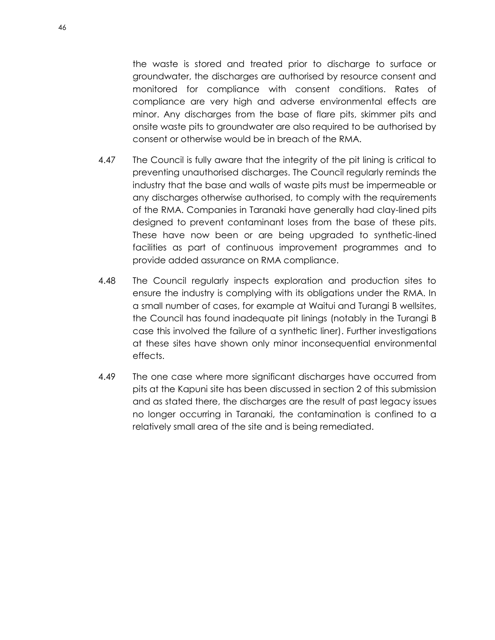the waste is stored and treated prior to discharge to surface or groundwater, the discharges are authorised by resource consent and monitored for compliance with consent conditions. Rates of compliance are very high and adverse environmental effects are minor. Any discharges from the base of flare pits, skimmer pits and onsite waste pits to groundwater are also required to be authorised by consent or otherwise would be in breach of the RMA.

- 4.47 The Council is fully aware that the integrity of the pit lining is critical to preventing unauthorised discharges. The Council regularly reminds the industry that the base and walls of waste pits must be impermeable or any discharges otherwise authorised, to comply with the requirements of the RMA. Companies in Taranaki have generally had clay-lined pits designed to prevent contaminant loses from the base of these pits. These have now been or are being upgraded to synthetic-lined facilities as part of continuous improvement programmes and to provide added assurance on RMA compliance.
- 4.48 The Council regularly inspects exploration and production sites to ensure the industry is complying with its obligations under the RMA. In a small number of cases, for example at Waitui and Turangi B wellsites, the Council has found inadequate pit linings (notably in the Turangi B case this involved the failure of a synthetic liner). Further investigations at these sites have shown only minor inconsequential environmental effects.
- 4.49 The one case where more significant discharges have occurred from pits at the Kapuni site has been discussed in section 2 of this submission and as stated there, the discharges are the result of past legacy issues no longer occurring in Taranaki, the contamination is confined to a relatively small area of the site and is being remediated.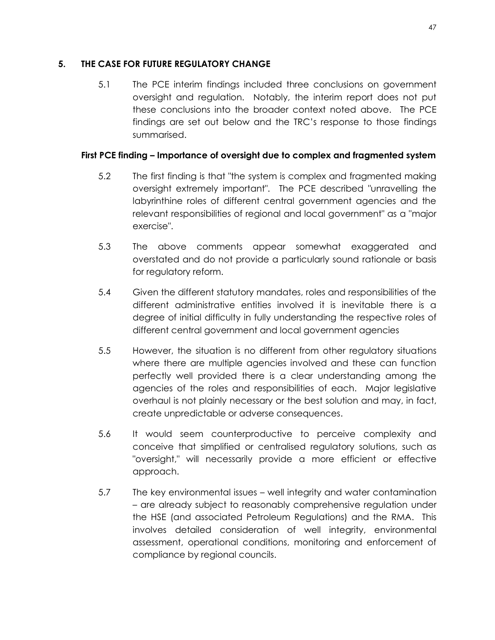## **5. THE CASE FOR FUTURE REGULATORY CHANGE**

5.1 The PCE interim findings included three conclusions on government oversight and regulation. Notably, the interim report does not put these conclusions into the broader context noted above. The PCE findings are set out below and the TRC's response to those findings summarised.

# **First PCE finding – Importance of oversight due to complex and fragmented system**

- 5.2 The first finding is that "the system is complex and fragmented making oversight extremely important". The PCE described "unravelling the labyrinthine roles of different central government agencies and the relevant responsibilities of regional and local government" as a "major exercise".
- 5.3 The above comments appear somewhat exaggerated and overstated and do not provide a particularly sound rationale or basis for regulatory reform.
- 5.4 Given the different statutory mandates, roles and responsibilities of the different administrative entities involved it is inevitable there is a degree of initial difficulty in fully understanding the respective roles of different central government and local government agencies
- 5.5 However, the situation is no different from other regulatory situations where there are multiple agencies involved and these can function perfectly well provided there is a clear understanding among the agencies of the roles and responsibilities of each. Major legislative overhaul is not plainly necessary or the best solution and may, in fact, create unpredictable or adverse consequences.
- 5.6 It would seem counterproductive to perceive complexity and conceive that simplified or centralised regulatory solutions, such as "oversight," will necessarily provide a more efficient or effective approach.
- 5.7 The key environmental issues well integrity and water contamination – are already subject to reasonably comprehensive regulation under the HSE (and associated Petroleum Regulations) and the RMA. This involves detailed consideration of well integrity, environmental assessment, operational conditions, monitoring and enforcement of compliance by regional councils.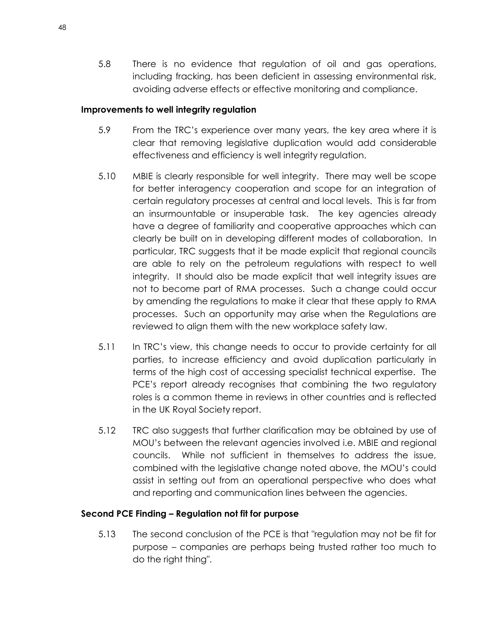5.8 There is no evidence that regulation of oil and gas operations, including fracking, has been deficient in assessing environmental risk, avoiding adverse effects or effective monitoring and compliance.

#### **Improvements to well integrity regulation**

- 5.9 From the TRC's experience over many years, the key area where it is clear that removing legislative duplication would add considerable effectiveness and efficiency is well integrity regulation.
- 5.10 MBIE is clearly responsible for well integrity. There may well be scope for better interagency cooperation and scope for an integration of certain regulatory processes at central and local levels. This is far from an insurmountable or insuperable task. The key agencies already have a degree of familiarity and cooperative approaches which can clearly be built on in developing different modes of collaboration. In particular, TRC suggests that it be made explicit that regional councils are able to rely on the petroleum regulations with respect to well integrity. It should also be made explicit that well integrity issues are not to become part of RMA processes. Such a change could occur by amending the regulations to make it clear that these apply to RMA processes. Such an opportunity may arise when the Regulations are reviewed to align them with the new workplace safety law.
- 5.11 In TRC's view, this change needs to occur to provide certainty for all parties, to increase efficiency and avoid duplication particularly in terms of the high cost of accessing specialist technical expertise. The PCE's report already recognises that combining the two regulatory roles is a common theme in reviews in other countries and is reflected in the UK Royal Society report.
- 5.12 TRC also suggests that further clarification may be obtained by use of MOU's between the relevant agencies involved i.e. MBIE and regional councils. While not sufficient in themselves to address the issue, combined with the legislative change noted above, the MOU's could assist in setting out from an operational perspective who does what and reporting and communication lines between the agencies.

### **Second PCE Finding – Regulation not fit for purpose**

5.13 The second conclusion of the PCE is that "regulation may not be fit for purpose – companies are perhaps being trusted rather too much to do the right thing".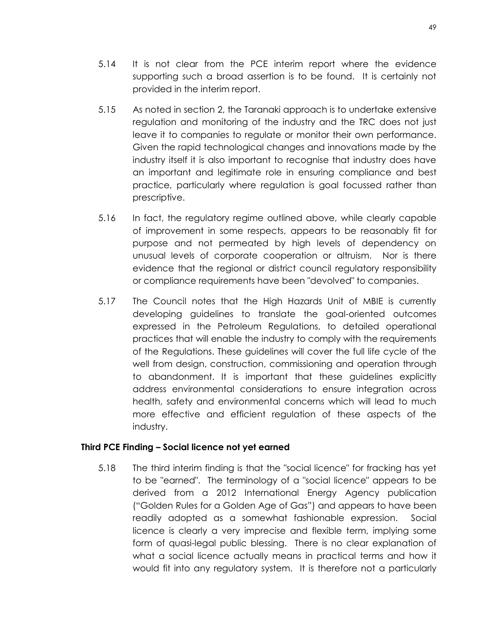- 5.14 It is not clear from the PCE interim report where the evidence supporting such a broad assertion is to be found. It is certainly not provided in the interim report.
- 5.15 As noted in section 2, the Taranaki approach is to undertake extensive regulation and monitoring of the industry and the TRC does not just leave it to companies to regulate or monitor their own performance. Given the rapid technological changes and innovations made by the industry itself it is also important to recognise that industry does have an important and legitimate role in ensuring compliance and best practice, particularly where regulation is goal focussed rather than prescriptive.
- 5.16 In fact, the regulatory regime outlined above, while clearly capable of improvement in some respects, appears to be reasonably fit for purpose and not permeated by high levels of dependency on unusual levels of corporate cooperation or altruism. Nor is there evidence that the regional or district council regulatory responsibility or compliance requirements have been "devolved" to companies.
- 5.17 The Council notes that the High Hazards Unit of MBIE is currently developing guidelines to translate the goal-oriented outcomes expressed in the Petroleum Regulations, to detailed operational practices that will enable the industry to comply with the requirements of the Regulations. These guidelines will cover the full life cycle of the well from design, construction, commissioning and operation through to abandonment. It is important that these guidelines explicitly address environmental considerations to ensure integration across health, safety and environmental concerns which will lead to much more effective and efficient regulation of these aspects of the industry.

#### **Third PCE Finding – Social licence not yet earned**

5.18 The third interim finding is that the "social licence" for fracking has yet to be "earned". The terminology of a "social licence" appears to be derived from a 2012 International Energy Agency publication ("Golden Rules for a Golden Age of Gas") and appears to have been readily adopted as a somewhat fashionable expression. Social licence is clearly a very imprecise and flexible term, implying some form of quasi-legal public blessing. There is no clear explanation of what a social licence actually means in practical terms and how it would fit into any regulatory system. It is therefore not a particularly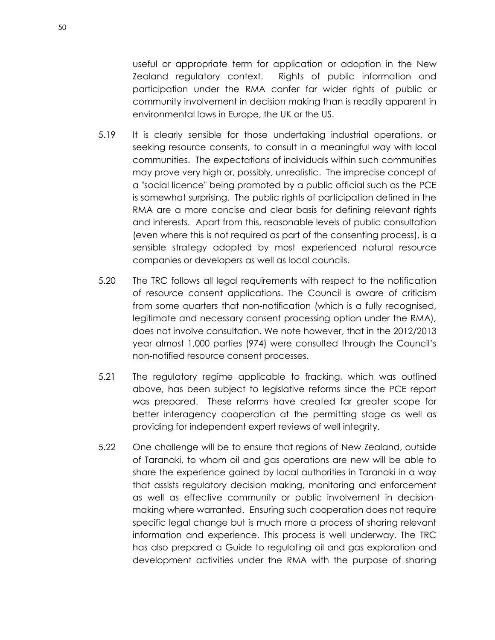useful or appropriate term for application or adoption in the New Zealand regulatory context. Rights of public information and participation under the RMA confer far wider rights of public or community involvement in decision making than is readily apparent in environmental laws in Europe, the UK or the US.

- 5.19 It is clearly sensible for those undertaking industrial operations, or seeking resource consents, to consult in a meaningful way with local communities. The expectations of individuals within such communities may prove very high or, possibly, unrealistic. The imprecise concept of a "social licence" being promoted by a public official such as the PCE is somewhat surprising. The public rights of participation defined in the RMA are a more concise and clear basis for defining relevant rights and interests. Apart from this, reasonable levels of public consultation (even where this is not required as part of the consenting process), is a sensible strategy adopted by most experienced natural resource companies or developers as well as local councils.
- 5.20 The TRC follows all legal requirements with respect to the notification of resource consent applications. The Council is aware of criticism from some quarters that non-notification (which is a fully recognised, legitimate and necessary consent processing option under the RMA), does not involve consultation. We note however, that in the 2012/2013 year almost 1,000 parties (974) were consulted through the Council's non-notified resource consent processes.
- 5.21 The regulatory regime applicable to fracking, which was outlined above, has been subject to legislative reforms since the PCE report was prepared. These reforms have created far greater scope for better interagency cooperation at the permitting stage as well as providing for independent expert reviews of well integrity.
- 5.22 One challenge will be to ensure that regions of New Zealand, outside of Taranaki, to whom oil and gas operations are new will be able to share the experience gained by local authorities in Taranaki in a way that assists regulatory decision making, monitoring and enforcement as well as effective community or public involvement in decisionmaking where warranted. Ensuring such cooperation does not require specific legal change but is much more a process of sharing relevant information and experience. This process is well underway. The TRC has also prepared a Guide to regulating oil and gas exploration and development activities under the RMA with the purpose of sharing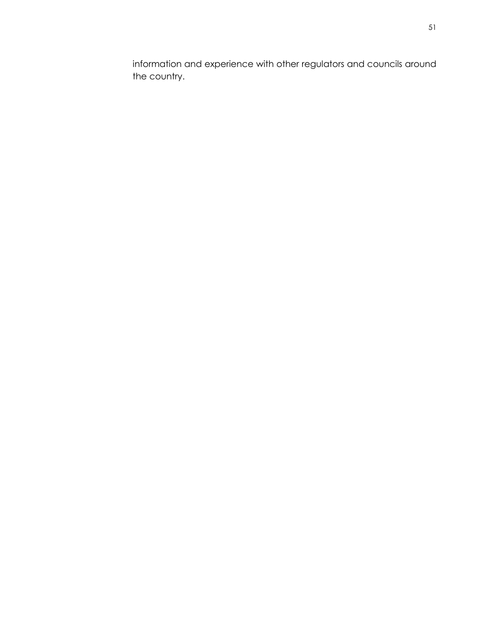information and experience with other regulators and councils around the country.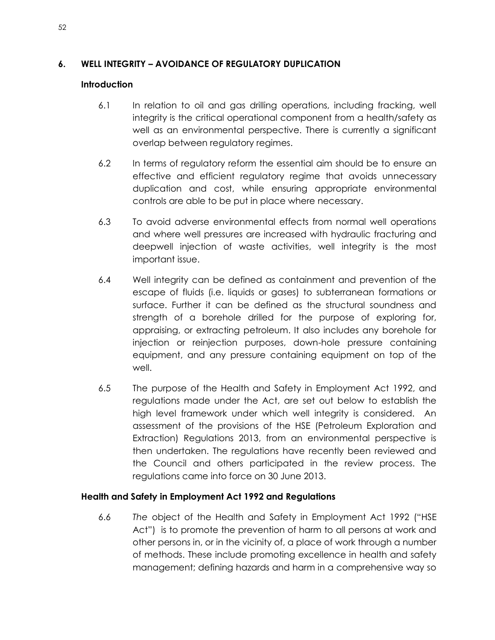# **6. WELL INTEGRITY – AVOIDANCE OF REGULATORY DUPLICATION**

## **Introduction**

- 6.1 In relation to oil and gas drilling operations, including fracking, well integrity is the critical operational component from a health/safety as well as an environmental perspective. There is currently a significant overlap between regulatory regimes.
- 6.2 In terms of regulatory reform the essential aim should be to ensure an effective and efficient regulatory regime that avoids unnecessary duplication and cost, while ensuring appropriate environmental controls are able to be put in place where necessary.
- 6.3 To avoid adverse environmental effects from normal well operations and where well pressures are increased with hydraulic fracturing and deepwell injection of waste activities, well integrity is the most important issue.
- 6.4 Well integrity can be defined as containment and prevention of the escape of fluids (i.e. liquids or gases) to subterranean formations or surface. Further it can be defined as the structural soundness and strength of a borehole drilled for the purpose of exploring for, appraising, or extracting petroleum. It also includes any borehole for injection or reinjection purposes, down-hole pressure containing equipment, and any pressure containing equipment on top of the well.
- 6.5 The purpose of the Health and Safety in Employment Act 1992, and regulations made under the Act, are set out below to establish the high level framework under which well integrity is considered. An assessment of the provisions of the HSE (Petroleum Exploration and Extraction) Regulations 2013, from an environmental perspective is then undertaken. The regulations have recently been reviewed and the Council and others participated in the review process. The regulations came into force on 30 June 2013.

### **Health and Safety in Employment Act 1992 and Regulations**

6.6 *The* object of the Health and Safety in Employment Act 1992 ("HSE Act") is to promote the prevention of harm to all persons at work and other persons in, or in the vicinity of, a place of work through a number of methods. These include promoting excellence in health and safety management; defining hazards and harm in a comprehensive way so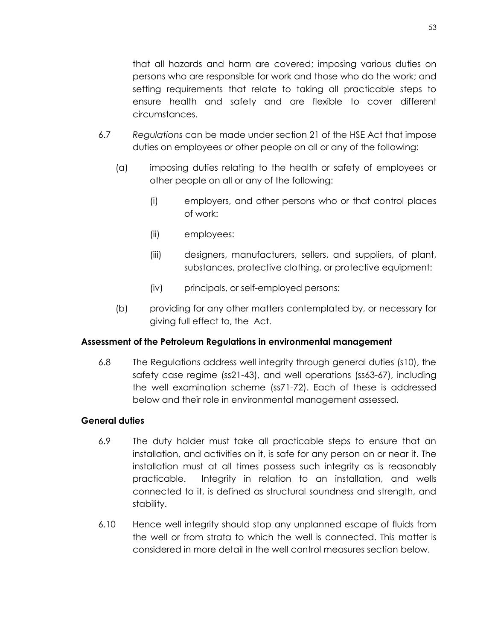that all hazards and harm are covered; imposing various duties on persons who are responsible for work and those who do the work; and setting requirements that relate to taking all practicable steps to ensure health and safety and are flexible to cover different circumstances.

- 6.7 *Regulations* can be made under section 21 of the HSE Act that impose duties on employees or other people on all or any of the following:
	- (a) imposing duties relating to the health or safety of employees or other people on all or any of the following:
		- (i) employers, and other persons who or that control places of work:
		- (ii) employees:
		- (iii) designers, manufacturers, sellers, and suppliers, of plant, substances, protective clothing, or protective equipment:
		- (iv) principals, or self-employed persons:
	- (b) providing for any other matters contemplated by, or necessary for giving full effect to, the Act.

### **Assessment of the Petroleum Regulations in environmental management**

6.8 The Regulations address well integrity through general duties (s10), the safety case regime (ss21-43), and well operations (ss63-67), including the well examination scheme (ss71-72). Each of these is addressed below and their role in environmental management assessed.

### **General duties**

- 6.9 The duty holder must take all practicable steps to ensure that an installation, and activities on it, is safe for any person on or near it. The installation must at all times possess such integrity as is reasonably practicable. Integrity in relation to an installation, and wells connected to it, is defined as structural soundness and strength, and stability.
- 6.10 Hence well integrity should stop any unplanned escape of fluids from the well or from strata to which the well is connected. This matter is considered in more detail in the well control measures section below.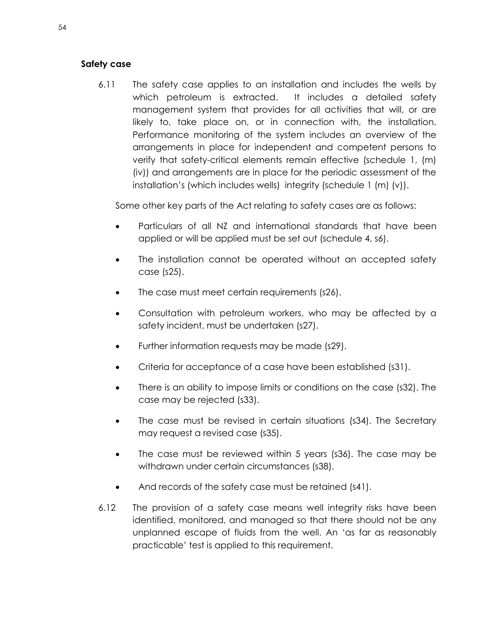#### **Safety case**

6.11 The safety case applies to an installation and includes the wells by which petroleum is extracted. It includes a detailed safety management system that provides for all activities that will, or are likely to, take place on, or in connection with, the installation. Performance monitoring of the system includes an overview of the arrangements in place for independent and competent persons to verify that safety-critical elements remain effective (schedule 1, (m) (iv)) and arrangements are in place for the periodic assessment of the installation's (which includes wells) integrity (schedule 1 (m) (v)).

Some other key parts of the Act relating to safety cases are as follows:

- Particulars of all NZ and international standards that have been applied or will be applied must be set out (schedule 4, s6).
- The installation cannot be operated without an accepted safety case (s25).
- The case must meet certain requirements (s26).
- Consultation with petroleum workers, who may be affected by a safety incident, must be undertaken (s27).
- Further information requests may be made (s29).
- Criteria for acceptance of a case have been established (s31).
- There is an ability to impose limits or conditions on the case (s32). The case may be rejected (s33).
- The case must be revised in certain situations (s34). The Secretary may request a revised case (s35).
- The case must be reviewed within 5 years (s36). The case may be withdrawn under certain circumstances (s38).
- And records of the safety case must be retained (s41).
- 6.12 The provision of a safety case means well integrity risks have been identified, monitored, and managed so that there should not be any unplanned escape of fluids from the well. An 'as far as reasonably practicable' test is applied to this requirement.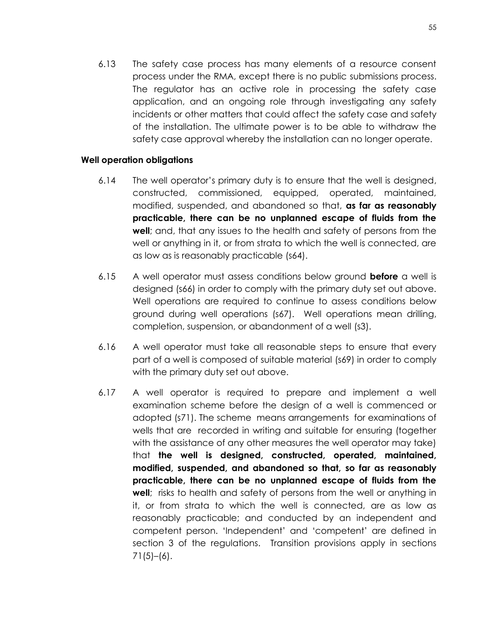6.13 The safety case process has many elements of a resource consent process under the RMA, except there is no public submissions process. The regulator has an active role in processing the safety case application, and an ongoing role through investigating any safety incidents or other matters that could affect the safety case and safety of the installation. The ultimate power is to be able to withdraw the safety case approval whereby the installation can no longer operate.

#### **Well operation obligations**

- 6.14 The well operator's primary duty is to ensure that the well is designed, constructed, commissioned, equipped, operated, maintained, modified, suspended, and abandoned so that, **as far as reasonably practicable, there can be no unplanned escape of fluids from the well**; and, that any issues to the health and safety of persons from the well or anything in it, or from strata to which the well is connected, are as low as is reasonably practicable (s64).
- 6.15 A well operator must assess conditions below ground **before** a well is designed (s66) in order to comply with the primary duty set out above. Well operations are required to continue to assess conditions below ground during well operations (s67). Well operations mean drilling, completion, suspension, or abandonment of a well (s3).
- 6.16 A well operator must take all reasonable steps to ensure that every part of a well is composed of suitable material (s69) in order to comply with the primary duty set out above.
- 6.17 A well operator is required to prepare and implement a well examination scheme before the design of a well is commenced or adopted (s71). The scheme means arrangements for examinations of wells that are recorded in writing and suitable for ensuring (together with the assistance of any other measures the well operator may take) that **the well is designed, constructed, operated, maintained, modified, suspended, and abandoned so that, so far as reasonably practicable, there can be no unplanned escape of fluids from the well**; risks to health and safety of persons from the well or anything in it, or from strata to which the well is connected, are as low as reasonably practicable; and conducted by an independent and competent person. 'Independent' and 'competent' are defined in section 3 of the regulations. Transition provisions apply in sections  $71(5)–(6)$ .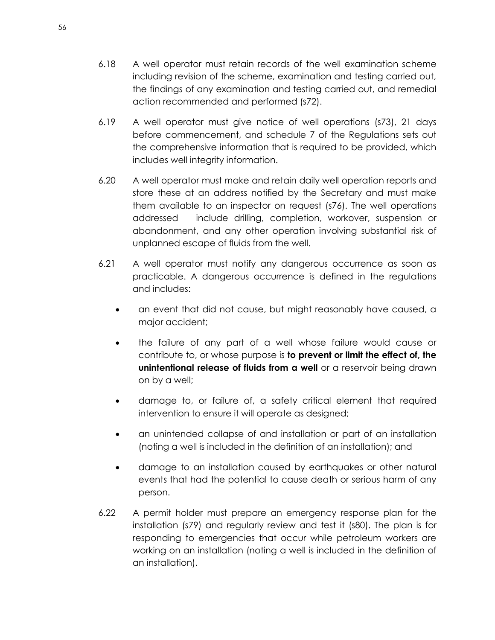- 6.18 A well operator must retain records of the well examination scheme including revision of the scheme, examination and testing carried out, the findings of any examination and testing carried out, and remedial action recommended and performed (s72).
- 6.19 A well operator must give notice of well operations (s73), 21 days before commencement, and schedule 7 of the Regulations sets out the comprehensive information that is required to be provided, which includes well integrity information.
- 6.20 A well operator must make and retain daily well operation reports and store these at an address notified by the Secretary and must make them available to an inspector on request (s76). The well operations addressed include drilling, completion, workover, suspension or abandonment, and any other operation involving substantial risk of unplanned escape of fluids from the well.
- 6.21 A well operator must notify any dangerous occurrence as soon as practicable. A dangerous occurrence is defined in the regulations and includes:
	- an event that did not cause, but might reasonably have caused, a major accident;
	- the failure of any part of a well whose failure would cause or contribute to, or whose purpose is **to prevent or limit the effect of, the unintentional release of fluids from a well** or a reservoir being drawn on by a well;
	- damage to, or failure of, a safety critical element that required intervention to ensure it will operate as designed;
	- an unintended collapse of and installation or part of an installation (noting a well is included in the definition of an installation); and
	- damage to an installation caused by earthquakes or other natural events that had the potential to cause death or serious harm of any person.
- 6.22 A permit holder must prepare an emergency response plan for the installation (s79) and regularly review and test it (s80). The plan is for responding to emergencies that occur while petroleum workers are working on an installation (noting a well is included in the definition of an installation).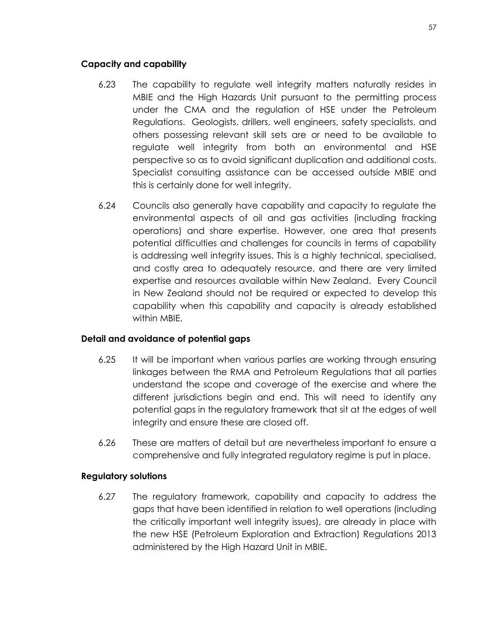#### **Capacity and capability**

- 6.23 The capability to regulate well integrity matters naturally resides in MBIE and the High Hazards Unit pursuant to the permitting process under the CMA and the regulation of HSE under the Petroleum Regulations. Geologists, drillers, well engineers, safety specialists, and others possessing relevant skill sets are or need to be available to regulate well integrity from both an environmental and HSE perspective so as to avoid significant duplication and additional costs. Specialist consulting assistance can be accessed outside MBIE and this is certainly done for well integrity.
- 6.24 Councils also generally have capability and capacity to regulate the environmental aspects of oil and gas activities (including fracking operations) and share expertise. However, one area that presents potential difficulties and challenges for councils in terms of capability is addressing well integrity issues. This is a highly technical, specialised, and costly area to adequately resource, and there are very limited expertise and resources available within New Zealand. Every Council in New Zealand should not be required or expected to develop this capability when this capability and capacity is already established within MBIE.

### **Detail and avoidance of potential gaps**

- 6.25 It will be important when various parties are working through ensuring linkages between the RMA and Petroleum Regulations that all parties understand the scope and coverage of the exercise and where the different jurisdictions begin and end. This will need to identify any potential gaps in the regulatory framework that sit at the edges of well integrity and ensure these are closed off.
- 6.26 These are matters of detail but are nevertheless important to ensure a comprehensive and fully integrated regulatory regime is put in place.

### **Regulatory solutions**

6.27 The regulatory framework, capability and capacity to address the gaps that have been identified in relation to well operations (including the critically important well integrity issues), are already in place with the new HSE (Petroleum Exploration and Extraction) Regulations 2013 administered by the High Hazard Unit in MBIE.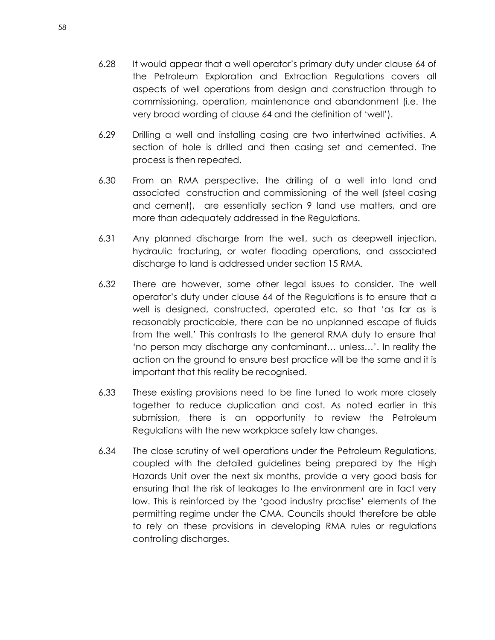- 6.28 It would appear that a well operator's primary duty under clause 64 of the Petroleum Exploration and Extraction Regulations covers all aspects of well operations from design and construction through to commissioning, operation, maintenance and abandonment (i.e. the very broad wording of clause 64 and the definition of 'well').
- 6.29 Drilling a well and installing casing are two intertwined activities. A section of hole is drilled and then casing set and cemented. The process is then repeated.
- 6.30 From an RMA perspective, the drilling of a well into land and associated construction and commissioning of the well (steel casing and cement), are essentially section 9 land use matters, and are more than adequately addressed in the Regulations.
- 6.31 Any planned discharge from the well, such as deepwell injection, hydraulic fracturing, or water flooding operations, and associated discharge to land is addressed under section 15 RMA.
- 6.32 There are however, some other legal issues to consider. The well operator's duty under clause 64 of the Regulations is to ensure that a well is designed, constructed, operated etc. so that 'as far as is reasonably practicable, there can be no unplanned escape of fluids from the well.' This contrasts to the general RMA duty to ensure that 'no person may discharge any contaminant… unless…'. In reality the action on the ground to ensure best practice will be the same and it is important that this reality be recognised.
- 6.33 These existing provisions need to be fine tuned to work more closely together to reduce duplication and cost. As noted earlier in this submission, there is an opportunity to review the Petroleum Regulations with the new workplace safety law changes.
- 6.34 The close scrutiny of well operations under the Petroleum Regulations, coupled with the detailed guidelines being prepared by the High Hazards Unit over the next six months, provide a very good basis for ensuring that the risk of leakages to the environment are in fact very low. This is reinforced by the 'good industry practise' elements of the permitting regime under the CMA. Councils should therefore be able to rely on these provisions in developing RMA rules or regulations controlling discharges.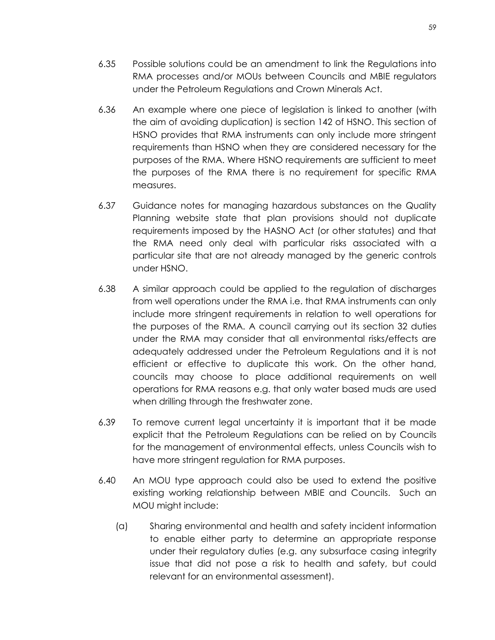- 6.36 An example where one piece of legislation is linked to another (with the aim of avoiding duplication) is section 142 of HSNO. This section of HSNO provides that RMA instruments can only include more stringent requirements than HSNO when they are considered necessary for the purposes of the RMA. Where HSNO requirements are sufficient to meet the purposes of the RMA there is no requirement for specific RMA measures.
- 6.37 Guidance notes for managing hazardous substances on the Quality Planning website state that plan provisions should not duplicate requirements imposed by the HASNO Act (or other statutes) and that the RMA need only deal with particular risks associated with a particular site that are not already managed by the generic controls under HSNO.
- 6.38 A similar approach could be applied to the regulation of discharges from well operations under the RMA i.e. that RMA instruments can only include more stringent requirements in relation to well operations for the purposes of the RMA. A council carrying out its section 32 duties under the RMA may consider that all environmental risks/effects are adequately addressed under the Petroleum Regulations and it is not efficient or effective to duplicate this work. On the other hand, councils may choose to place additional requirements on well operations for RMA reasons e.g. that only water based muds are used when drilling through the freshwater zone.
- 6.39 To remove current legal uncertainty it is important that it be made explicit that the Petroleum Regulations can be relied on by Councils for the management of environmental effects, unless Councils wish to have more stringent regulation for RMA purposes.
- 6.40 An MOU type approach could also be used to extend the positive existing working relationship between MBIE and Councils. Such an MOU might include:
	- (a) Sharing environmental and health and safety incident information to enable either party to determine an appropriate response under their regulatory duties (e.g. any subsurface casing integrity issue that did not pose a risk to health and safety, but could relevant for an environmental assessment).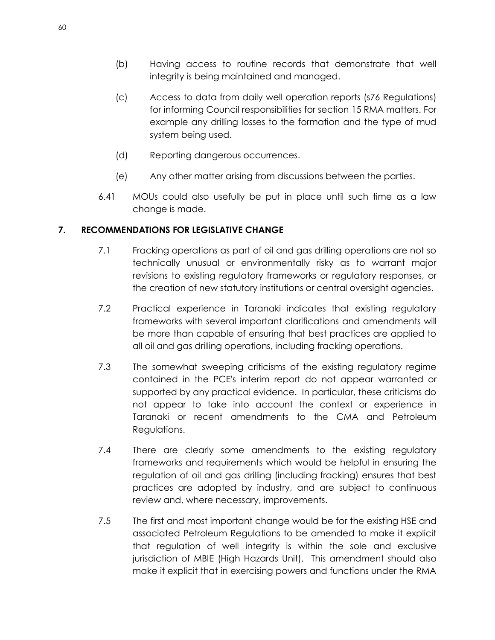- (b) Having access to routine records that demonstrate that well integrity is being maintained and managed.
- (c) Access to data from daily well operation reports (s76 Regulations) for informing Council responsibilities for section 15 RMA matters. For example any drilling losses to the formation and the type of mud system being used.
- (d) Reporting dangerous occurrences.
- (e) Any other matter arising from discussions between the parties.
- 6.41 MOUs could also usefully be put in place until such time as a law change is made.

### **7. RECOMMENDATIONS FOR LEGISLATIVE CHANGE**

- 7.1 Fracking operations as part of oil and gas drilling operations are not so technically unusual or environmentally risky as to warrant major revisions to existing regulatory frameworks or regulatory responses, or the creation of new statutory institutions or central oversight agencies.
- 7.2 Practical experience in Taranaki indicates that existing regulatory frameworks with several important clarifications and amendments will be more than capable of ensuring that best practices are applied to all oil and gas drilling operations, including fracking operations.
- 7.3 The somewhat sweeping criticisms of the existing regulatory regime contained in the PCE's interim report do not appear warranted or supported by any practical evidence. In particular, these criticisms do not appear to take into account the context or experience in Taranaki or recent amendments to the CMA and Petroleum Regulations.
- 7.4 There are clearly some amendments to the existing regulatory frameworks and requirements which would be helpful in ensuring the regulation of oil and gas drilling (including fracking) ensures that best practices are adopted by industry, and are subject to continuous review and, where necessary, improvements.
- 7.5 The first and most important change would be for the existing HSE and associated Petroleum Regulations to be amended to make it explicit that regulation of well integrity is within the sole and exclusive jurisdiction of MBIE (High Hazards Unit). This amendment should also make it explicit that in exercising powers and functions under the RMA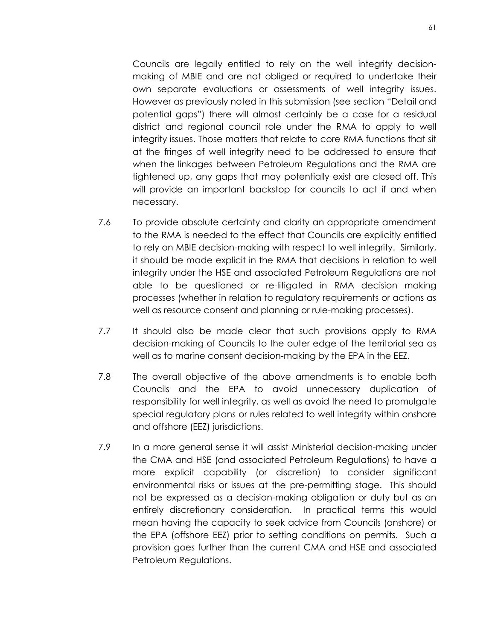Councils are legally entitled to rely on the well integrity decisionmaking of MBIE and are not obliged or required to undertake their own separate evaluations or assessments of well integrity issues. However as previously noted in this submission (see section "Detail and potential gaps") there will almost certainly be a case for a residual district and regional council role under the RMA to apply to well integrity issues. Those matters that relate to core RMA functions that sit at the fringes of well integrity need to be addressed to ensure that when the linkages between Petroleum Regulations and the RMA are tightened up, any gaps that may potentially exist are closed off. This will provide an important backstop for councils to act if and when necessary.

- 7.6 To provide absolute certainty and clarity an appropriate amendment to the RMA is needed to the effect that Councils are explicitly entitled to rely on MBIE decision-making with respect to well integrity. Similarly, it should be made explicit in the RMA that decisions in relation to well integrity under the HSE and associated Petroleum Regulations are not able to be questioned or re-litigated in RMA decision making processes (whether in relation to regulatory requirements or actions as well as resource consent and planning or rule-making processes).
- 7.7 It should also be made clear that such provisions apply to RMA decision-making of Councils to the outer edge of the territorial sea as well as to marine consent decision-making by the EPA in the EEZ.
- 7.8 The overall objective of the above amendments is to enable both Councils and the EPA to avoid unnecessary duplication of responsibility for well integrity, as well as avoid the need to promulgate special regulatory plans or rules related to well integrity within onshore and offshore (EEZ) jurisdictions.
- 7.9 In a more general sense it will assist Ministerial decision-making under the CMA and HSE (and associated Petroleum Regulations) to have a more explicit capability (or discretion) to consider significant environmental risks or issues at the pre-permitting stage. This should not be expressed as a decision-making obligation or duty but as an entirely discretionary consideration. In practical terms this would mean having the capacity to seek advice from Councils (onshore) or the EPA (offshore EEZ) prior to setting conditions on permits. Such a provision goes further than the current CMA and HSE and associated Petroleum Regulations.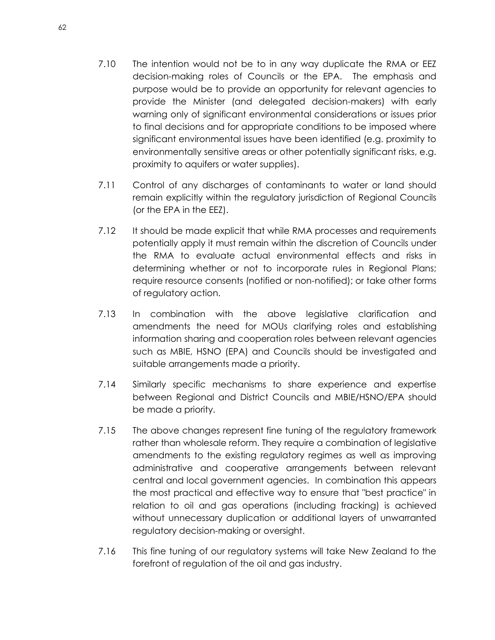- 7.10 The intention would not be to in any way duplicate the RMA or EEZ decision-making roles of Councils or the EPA. The emphasis and purpose would be to provide an opportunity for relevant agencies to provide the Minister (and delegated decision-makers) with early warning only of significant environmental considerations or issues prior to final decisions and for appropriate conditions to be imposed where significant environmental issues have been identified (e.g. proximity to environmentally sensitive areas or other potentially significant risks, e.g. proximity to aquifers or water supplies).
- 7.11 Control of any discharges of contaminants to water or land should remain explicitly within the regulatory jurisdiction of Regional Councils (or the EPA in the EEZ).
- 7.12 It should be made explicit that while RMA processes and requirements potentially apply it must remain within the discretion of Councils under the RMA to evaluate actual environmental effects and risks in determining whether or not to incorporate rules in Regional Plans; require resource consents (notified or non-notified); or take other forms of regulatory action.
- 7.13 In combination with the above legislative clarification and amendments the need for MOUs clarifying roles and establishing information sharing and cooperation roles between relevant agencies such as MBIE, HSNO (EPA) and Councils should be investigated and suitable arrangements made a priority.
- 7.14 Similarly specific mechanisms to share experience and expertise between Regional and District Councils and MBIE/HSNO/EPA should be made a priority.
- 7.15 The above changes represent fine tuning of the regulatory framework rather than wholesale reform. They require a combination of legislative amendments to the existing regulatory regimes as well as improving administrative and cooperative arrangements between relevant central and local government agencies. In combination this appears the most practical and effective way to ensure that "best practice" in relation to oil and gas operations (including fracking) is achieved without unnecessary duplication or additional layers of unwarranted regulatory decision-making or oversight.
- 7.16 This fine tuning of our regulatory systems will take New Zealand to the forefront of regulation of the oil and gas industry.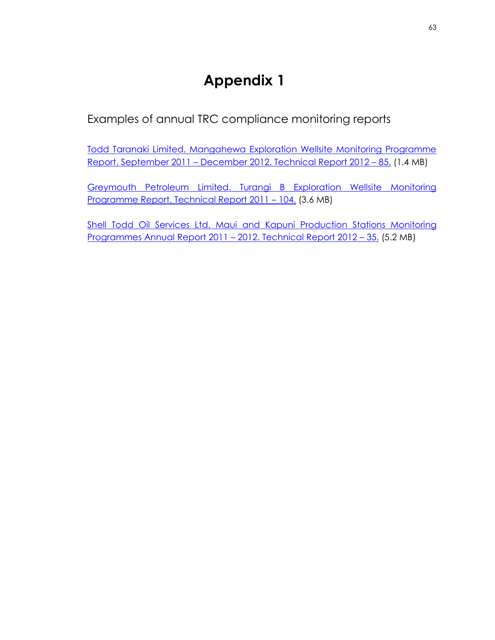Examples of annual TRC compliance monitoring reports

[Todd Taranaki Limited. Mangahewa Exploration Wellsite Monitoring Programme](http://www.trc.govt.nz/assets/Publications/technical-reports/oil-and-gas-compliance-monitoring-reports/1214831w2.pdf)  Report. September 2011 – [December 2012. Technical Report 2012](http://www.trc.govt.nz/assets/Publications/technical-reports/oil-and-gas-compliance-monitoring-reports/1214831w2.pdf) – 85. (1.4 MB)

[Greymouth Petroleum Limited. Turangi B Exploration Wellsite Monitoring](http://www.trc.govt.nz/assets/Publications/technical-reports/oil-and-gas-compliance-monitoring-reports/1073740w2.pdf)  [Programme Report. Technical Report 2011](http://www.trc.govt.nz/assets/Publications/technical-reports/oil-and-gas-compliance-monitoring-reports/1073740w2.pdf) – 104. (3.6 MB)

[Shell Todd Oil Services Ltd. Maui and Kapuni Production Stations Monitoring](http://www.trc.govt.nz/assets/Publications/technical-reports/oil-and-gas-compliance-monitoring-reports/1104514w2.pdf)  [Programmes Annual Report 2011](http://www.trc.govt.nz/assets/Publications/technical-reports/oil-and-gas-compliance-monitoring-reports/1104514w2.pdf) – 2012. Technical Report 2012 – 35. (5.2 MB)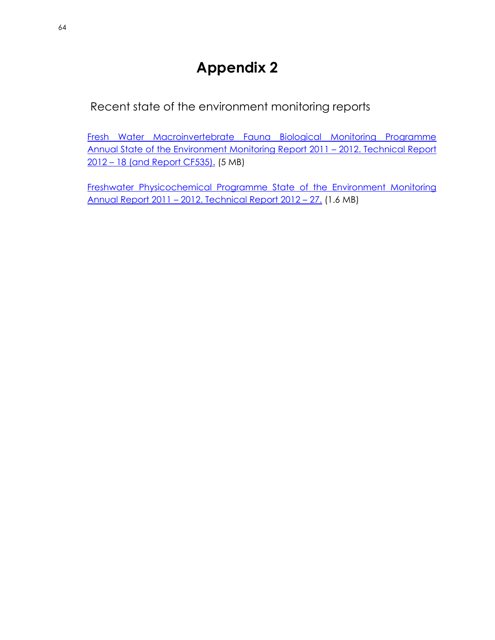Recent state of the environment monitoring reports

[Fresh Water Macroinvertebrate Fauna Biological Monitoring Programme](http://www.trc.govt.nz/assets/Publications/state-of-the-environment-monitoring/environmental-monitoring-technical-reports/1162970w2.pdf)  [Annual State of the Environment Monitoring Report 2011](http://www.trc.govt.nz/assets/Publications/state-of-the-environment-monitoring/environmental-monitoring-technical-reports/1162970w2.pdf) – 2012. Technical Report 2012 – [18 \(and Report CF535\).](http://www.trc.govt.nz/assets/Publications/state-of-the-environment-monitoring/environmental-monitoring-technical-reports/1162970w2.pdf) (5 MB)

[Freshwater Physicochemical Programme State of the Environment Monitoring](http://www.trc.govt.nz/assets/Publications/state-of-the-environment-monitoring/environmental-monitoring-technical-reports/1113406w2.pdf)  Annual Report 2011 – [2012. Technical Report 2012](http://www.trc.govt.nz/assets/Publications/state-of-the-environment-monitoring/environmental-monitoring-technical-reports/1113406w2.pdf) – 27. (1.6 MB)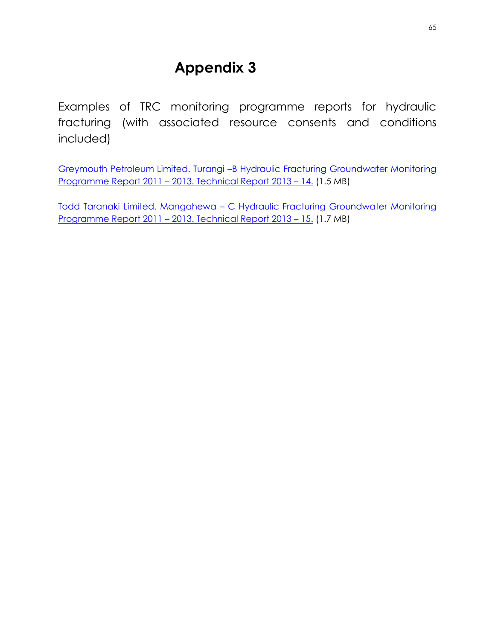Examples of TRC monitoring programme reports for hydraulic fracturing (with associated resource consents and conditions included)

Greymouth Petroleum Limited. Turangi –[B Hydraulic Fracturing Groundwater Monitoring](http://www.trc.govt.nz/assets/Publications/technical-reports/oil-and-gas-compliance-monitoring-reports/1219404w2.pdf)  Programme Report 2011 – [2013. Technical Report 2013](http://www.trc.govt.nz/assets/Publications/technical-reports/oil-and-gas-compliance-monitoring-reports/1219404w2.pdf) – 14. (1.5 MB)

Todd Taranaki Limited. Mangahewa – [C Hydraulic Fracturing Groundwater Monitoring](http://www.trc.govt.nz/assets/Publications/technical-reports/oil-and-gas-compliance-monitoring-reports/1202364w2.pdf)  Programme Report 2011 – [2013. Technical Report 2013](http://www.trc.govt.nz/assets/Publications/technical-reports/oil-and-gas-compliance-monitoring-reports/1202364w2.pdf) – 15. (1.7 MB)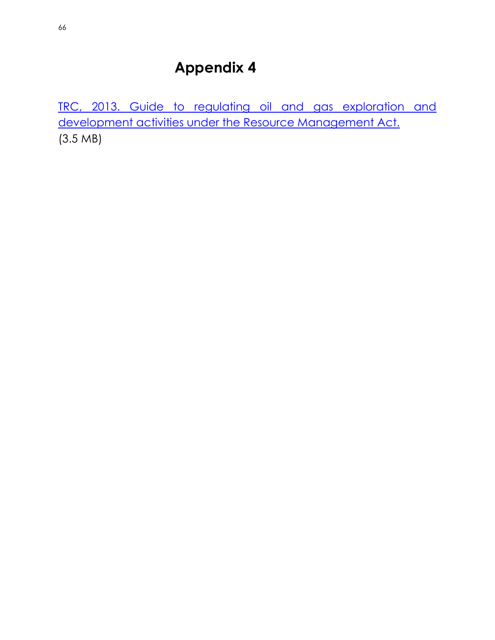[TRC, 2013. Guide to regulating oil and gas exploration and](http://www.trc.govt.nz/assets/Publications/guidelines-procedures-and-publications/industry/OilandgasGuideOct2013.pdf)  [development activities under the Resource Management Act.](http://www.trc.govt.nz/assets/Publications/guidelines-procedures-and-publications/industry/OilandgasGuideOct2013.pdf) (3.5 MB)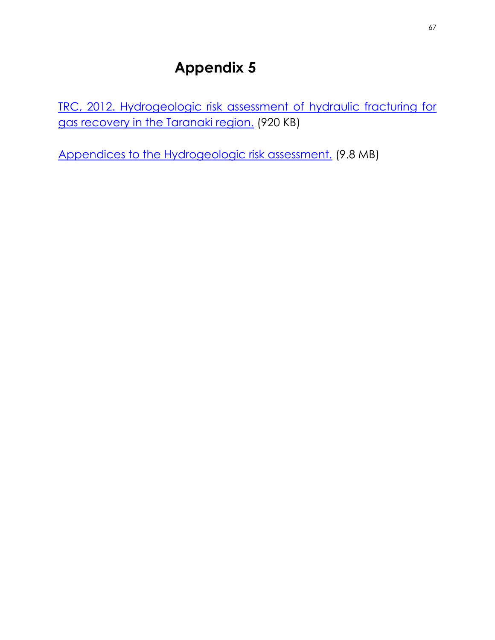[TRC, 2012. Hydrogeologic risk assessment of hydraulic fracturing for](http://www.trc.govt.nz/assets/Publications/guidelines-procedures-and-publications/hydraulic-fracturing/hf-may2012-graph-p19.pdf)  [gas recovery in the Taranaki region.](http://www.trc.govt.nz/assets/Publications/guidelines-procedures-and-publications/hydraulic-fracturing/hf-may2012-graph-p19.pdf) (920 KB)

[Appendices to the Hydrogeologic risk assessment.](http://www.trc.govt.nz/assets/Publications/guidelines-procedures-and-publications/hydraulic-fracturing/hf-may2012-append-w2.pdf) (9.8 MB)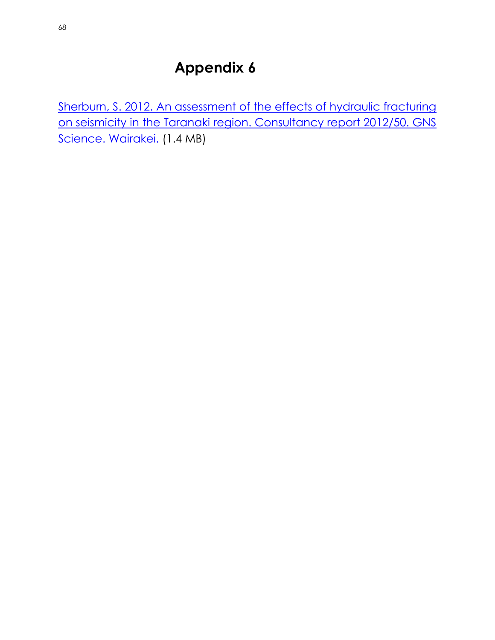Sherburn, S. 2012. An assessment of the effects of hydraulic fracturing [on seismicity in the Taranaki region. Consultancy report 2012/50. GNS](http://www.trc.govt.nz/assets/Publications/guidelines-procedures-and-publications/hydraulic-fracturing/gns-seismic-feb2012.pdf)  [Science. Wairakei.](http://www.trc.govt.nz/assets/Publications/guidelines-procedures-and-publications/hydraulic-fracturing/gns-seismic-feb2012.pdf) (1.4 MB)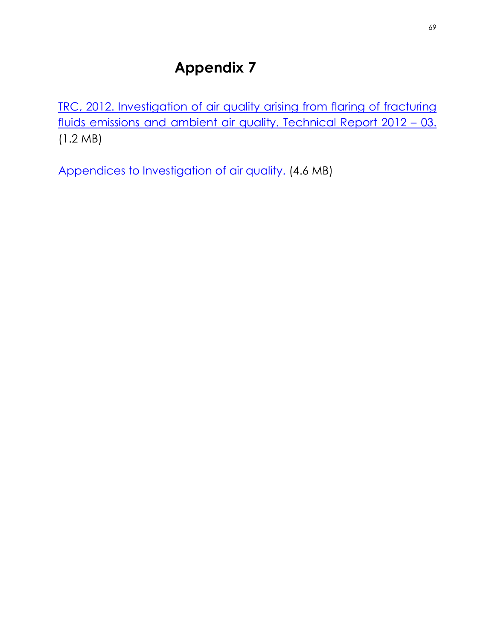[TRC, 2012. Investigation of air quality arising from flaring of fracturing](http://www.trc.govt.nz/assets/Publications/guidelines-procedures-and-publications/hydraulic-fracturing/Flaring2012-report.pdf)  [fluids emissions and ambient air quality. Technical Report 2012](http://www.trc.govt.nz/assets/Publications/guidelines-procedures-and-publications/hydraulic-fracturing/Flaring2012-report.pdf) - 03. (1.2 MB)

[Appendices to Investigation of air quality.](http://www.trc.govt.nz/assets/Publications/guidelines-procedures-and-publications/hydraulic-fracturing/Flaring2012-appendices.pdf) (4.6 MB)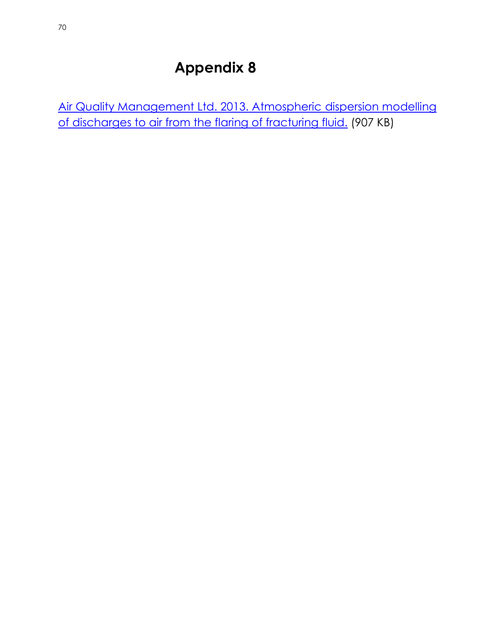[Air Quality Management Ltd. 2013. Atmospheric dispersion modelling](http://www.trc.govt.nz/assets/Publications/guidelines-procedures-and-publications/hydraulic-fracturing/FlaringJune2013.pdf)  [of discharges to air from the flaring of fracturing fluid.](http://www.trc.govt.nz/assets/Publications/guidelines-procedures-and-publications/hydraulic-fracturing/FlaringJune2013.pdf) (907 KB)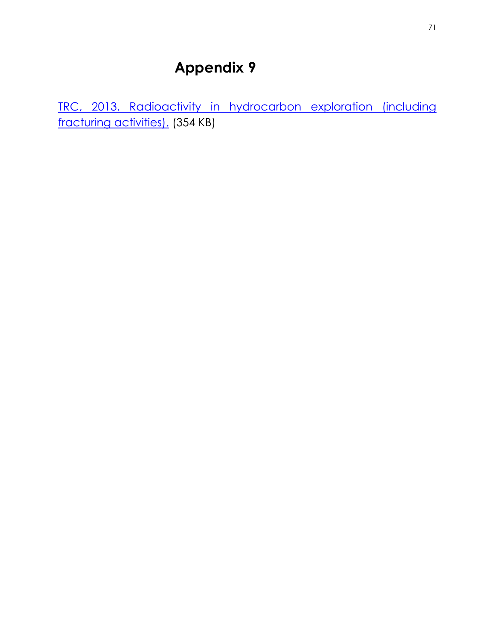[TRC, 2013. Radioactivity in hydrocarbon exploration \(including](http://www.trc.govt.nz/assets/Publications/guidelines-procedures-and-publications/hydraulic-fracturing/radioactivity-feb2013.pdf)  [fracturing activities\).](http://www.trc.govt.nz/assets/Publications/guidelines-procedures-and-publications/hydraulic-fracturing/radioactivity-feb2013.pdf) (354 KB)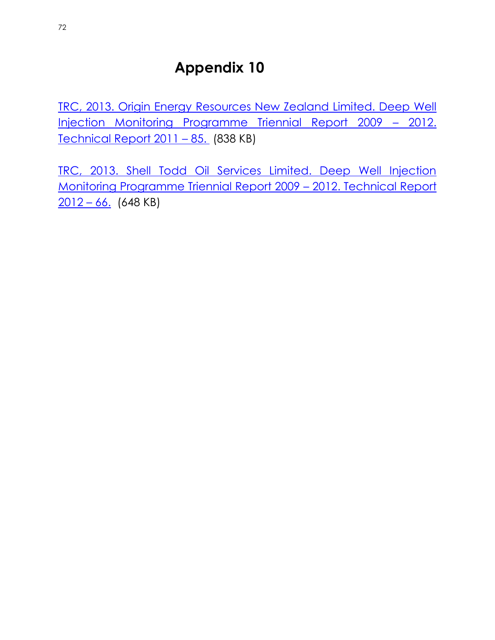[TRC, 2013. Origin Energy Resources New Zealand Limited. Deep Well](http://www.trc.govt.nz/assets/Publications/technical-reports/oil-and-gas-compliance-monitoring-reports/1114242w2.pdf)  [Injection Monitoring Programme Triennial Report 2009](http://www.trc.govt.nz/assets/Publications/technical-reports/oil-and-gas-compliance-monitoring-reports/1114242w2.pdf) - 2012. [Technical Report 2011](http://www.trc.govt.nz/assets/Publications/technical-reports/oil-and-gas-compliance-monitoring-reports/1114242w2.pdf) – 85. (838 KB)

[TRC, 2013. Shell Todd Oil Services Limited. Deep Well Injection](http://www.trc.govt.nz/assets/Publications/technical-reports/oil-and-gas-compliance-monitoring-reports/1126526w2.pdf)  [Monitoring Programme Triennial Report 2009](http://www.trc.govt.nz/assets/Publications/technical-reports/oil-and-gas-compliance-monitoring-reports/1126526w2.pdf) – 2012. Technical Report  $2012 - 66.$  $2012 - 66.$  (648 KB)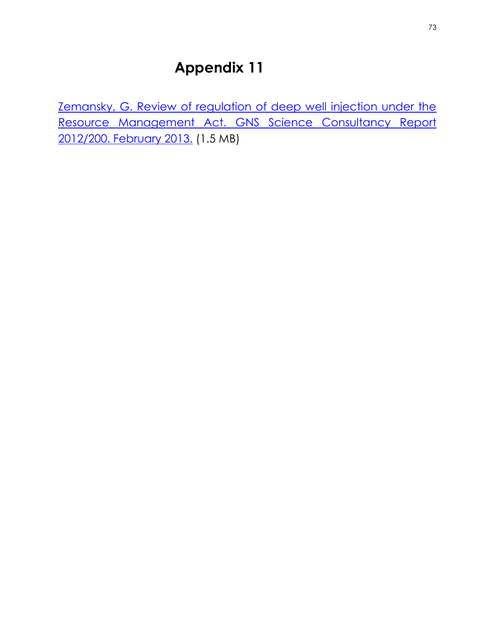[Zemansky, G. Review of regulation of deep well injection under the](http://www.trc.govt.nz/assets/Publications/guidelines-procedures-and-publications/resource-management-act/GNS-DWI-2013.PDF)  Resource Management Act. GNS Science Consultancy Report [2012/200. February 2013.](http://www.trc.govt.nz/assets/Publications/guidelines-procedures-and-publications/resource-management-act/GNS-DWI-2013.PDF) (1.5 MB)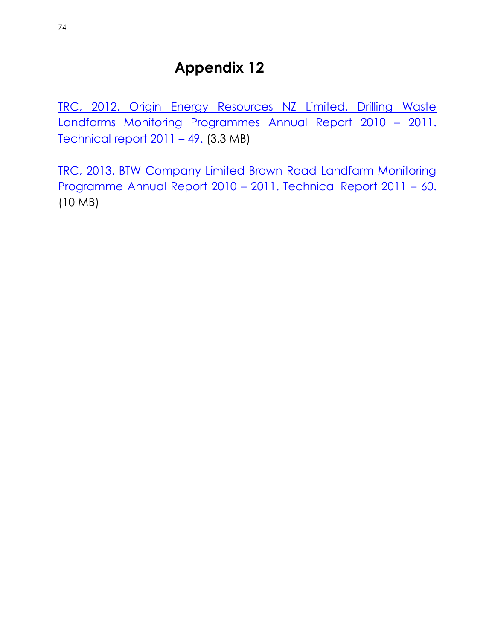[TRC, 2012. Origin Energy Resources NZ Limited. Drilling Waste](http://www.trc.govt.nz/assets/Publications/technical-reports/oil-and-gas-compliance-monitoring-reports/963028w.pdf)  [Landfarms Monitoring Programmes Annual Report 2010](http://www.trc.govt.nz/assets/Publications/technical-reports/oil-and-gas-compliance-monitoring-reports/963028w.pdf) – 2011. [Technical report 2011](http://www.trc.govt.nz/assets/Publications/technical-reports/oil-and-gas-compliance-monitoring-reports/963028w.pdf) – 49. (3.3 MB)

[TRC, 2013. BTW Company Limited Brown Road Landfarm Monitoring](http://www.trc.govt.nz/assets/Publications/technical-reports/oil-and-gas-compliance-monitoring-reports/1141122w2.pdf)  [Programme Annual Report 2010](http://www.trc.govt.nz/assets/Publications/technical-reports/oil-and-gas-compliance-monitoring-reports/1141122w2.pdf) – 2011. Technical Report 2011 – 60. (10 MB)